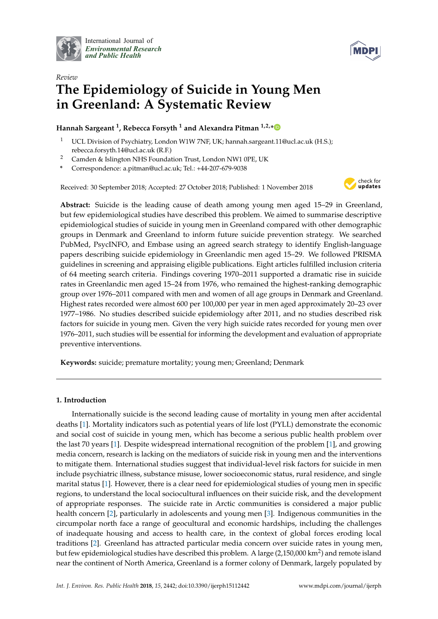

International Journal of *[Environmental Research](http://www.mdpi.com/journal/ijerph) and Public Health*



# *Review* **The Epidemiology of Suicide in Young Men in Greenland: A Systematic Review**

# **Hannah Sargeant <sup>1</sup> , Rebecca Forsyth <sup>1</sup> and Alexandra Pitman 1,2,[\\*](https://orcid.org/0000-0002-9742-1359)**

- <sup>1</sup> UCL Division of Psychiatry, London W1W 7NF, UK; hannah.sargeant.11@ucl.ac.uk (H.S.); rebecca.forsyth.14@ucl.ac.uk (R.F.)
- <sup>2</sup> Camden & Islington NHS Foundation Trust, London NW1 0PE, UK
- **\*** Correspondence: a.pitman@ucl.ac.uk; Tel.: +44-207-679-9038

Received: 30 September 2018; Accepted: 27 October 2018; Published: 1 November 2018



**Abstract:** Suicide is the leading cause of death among young men aged 15–29 in Greenland, but few epidemiological studies have described this problem. We aimed to summarise descriptive epidemiological studies of suicide in young men in Greenland compared with other demographic groups in Denmark and Greenland to inform future suicide prevention strategy. We searched PubMed, PsycINFO, and Embase using an agreed search strategy to identify English-language papers describing suicide epidemiology in Greenlandic men aged 15–29. We followed PRISMA guidelines in screening and appraising eligible publications. Eight articles fulfilled inclusion criteria of 64 meeting search criteria. Findings covering 1970–2011 supported a dramatic rise in suicide rates in Greenlandic men aged 15–24 from 1976, who remained the highest-ranking demographic group over 1976–2011 compared with men and women of all age groups in Denmark and Greenland. Highest rates recorded were almost 600 per 100,000 per year in men aged approximately 20–23 over 1977–1986. No studies described suicide epidemiology after 2011, and no studies described risk factors for suicide in young men. Given the very high suicide rates recorded for young men over 1976–2011, such studies will be essential for informing the development and evaluation of appropriate preventive interventions.

**Keywords:** suicide; premature mortality; young men; Greenland; Denmark

# **1. Introduction**

Internationally suicide is the second leading cause of mortality in young men after accidental deaths [\[1\]](#page-15-0). Mortality indicators such as potential years of life lost (PYLL) demonstrate the economic and social cost of suicide in young men, which has become a serious public health problem over the last 70 years [\[1\]](#page-15-0). Despite widespread international recognition of the problem [\[1\]](#page-15-0), and growing media concern, research is lacking on the mediators of suicide risk in young men and the interventions to mitigate them. International studies suggest that individual-level risk factors for suicide in men include psychiatric illness, substance misuse, lower socioeconomic status, rural residence, and single marital status [\[1\]](#page-15-0). However, there is a clear need for epidemiological studies of young men in specific regions, to understand the local sociocultural influences on their suicide risk, and the development of appropriate responses. The suicide rate in Arctic communities is considered a major public health concern [\[2\]](#page-15-1), particularly in adolescents and young men [\[3\]](#page-15-2). Indigenous communities in the circumpolar north face a range of geocultural and economic hardships, including the challenges of inadequate housing and access to health care, in the context of global forces eroding local traditions [\[2\]](#page-15-1). Greenland has attracted particular media concern over suicide rates in young men, but few epidemiological studies have described this problem. A large (2,150,000 km<sup>2</sup>) and remote island near the continent of North America, Greenland is a former colony of Denmark, largely populated by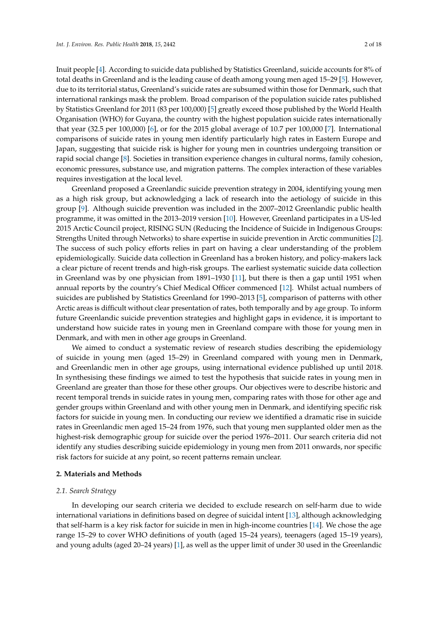Inuit people [\[4\]](#page-15-3). According to suicide data published by Statistics Greenland, suicide accounts for 8% of total deaths in Greenland and is the leading cause of death among young men aged 15–29 [\[5\]](#page-15-4). However, due to its territorial status, Greenland's suicide rates are subsumed within those for Denmark, such that international rankings mask the problem. Broad comparison of the population suicide rates published by Statistics Greenland for 2011 (83 per 100,000) [\[5\]](#page-15-4) greatly exceed those published by the World Health Organisation (WHO) for Guyana, the country with the highest population suicide rates internationally that year (32.5 per 100,000) [\[6\]](#page-15-5), or for the 2015 global average of 10.7 per 100,000 [\[7\]](#page-15-6). International comparisons of suicide rates in young men identify particularly high rates in Eastern Europe and Japan, suggesting that suicide risk is higher for young men in countries undergoing transition or rapid social change [\[8\]](#page-15-7). Societies in transition experience changes in cultural norms, family cohesion, economic pressures, substance use, and migration patterns. The complex interaction of these variables requires investigation at the local level.

Greenland proposed a Greenlandic suicide prevention strategy in 2004, identifying young men as a high risk group, but acknowledging a lack of research into the aetiology of suicide in this group [\[9\]](#page-15-8). Although suicide prevention was included in the 2007–2012 Greenlandic public health programme, it was omitted in the 2013–2019 version [\[10\]](#page-15-9). However, Greenland participates in a US-led 2015 Arctic Council project, RISING SUN (Reducing the Incidence of Suicide in Indigenous Groups: Strengths United through Networks) to share expertise in suicide prevention in Arctic communities [\[2\]](#page-15-1). The success of such policy efforts relies in part on having a clear understanding of the problem epidemiologically. Suicide data collection in Greenland has a broken history, and policy-makers lack a clear picture of recent trends and high-risk groups. The earliest systematic suicide data collection in Greenland was by one physician from 1891–1930 [\[11\]](#page-15-10), but there is then a gap until 1951 when annual reports by the country's Chief Medical Officer commenced [\[12\]](#page-15-11). Whilst actual numbers of suicides are published by Statistics Greenland for 1990–2013 [\[5\]](#page-15-4), comparison of patterns with other Arctic areas is difficult without clear presentation of rates, both temporally and by age group. To inform future Greenlandic suicide prevention strategies and highlight gaps in evidence, it is important to understand how suicide rates in young men in Greenland compare with those for young men in Denmark, and with men in other age groups in Greenland.

We aimed to conduct a systematic review of research studies describing the epidemiology of suicide in young men (aged 15–29) in Greenland compared with young men in Denmark, and Greenlandic men in other age groups, using international evidence published up until 2018. In synthesising these findings we aimed to test the hypothesis that suicide rates in young men in Greenland are greater than those for these other groups. Our objectives were to describe historic and recent temporal trends in suicide rates in young men, comparing rates with those for other age and gender groups within Greenland and with other young men in Denmark, and identifying specific risk factors for suicide in young men. In conducting our review we identified a dramatic rise in suicide rates in Greenlandic men aged 15–24 from 1976, such that young men supplanted older men as the highest-risk demographic group for suicide over the period 1976–2011. Our search criteria did not identify any studies describing suicide epidemiology in young men from 2011 onwards, nor specific risk factors for suicide at any point, so recent patterns remain unclear.

#### **2. Materials and Methods**

#### *2.1. Search Strategy*

In developing our search criteria we decided to exclude research on self-harm due to wide international variations in definitions based on degree of suicidal intent [\[13\]](#page-15-12), although acknowledging that self-harm is a key risk factor for suicide in men in high-income countries [\[14\]](#page-15-13). We chose the age range 15–29 to cover WHO definitions of youth (aged 15–24 years), teenagers (aged 15–19 years), and young adults (aged 20–24 years) [\[1\]](#page-15-0), as well as the upper limit of under 30 used in the Greenlandic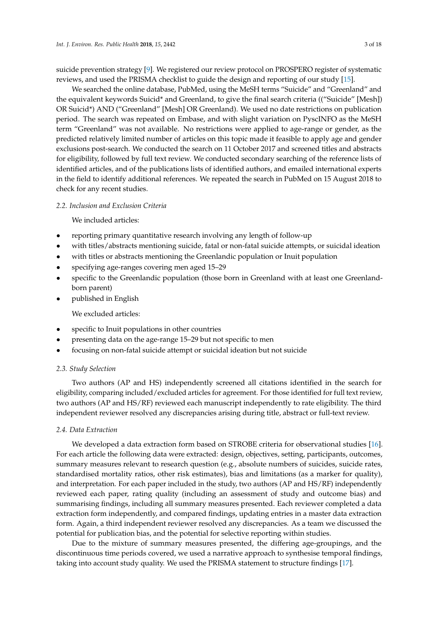suicide prevention strategy [\[9\]](#page-15-8). We registered our review protocol on PROSPERO register of systematic reviews, and used the PRISMA checklist to guide the design and reporting of our study [\[15\]](#page-16-0).

We searched the online database, PubMed, using the MeSH terms "Suicide" and "Greenland" and the equivalent keywords Suicid\* and Greenland, to give the final search criteria (("Suicide" [Mesh]) OR Suicid\*) AND ("Greenland" [Mesh] OR Greenland). We used no date restrictions on publication period. The search was repeated on Embase, and with slight variation on PyscINFO as the MeSH term "Greenland" was not available. No restrictions were applied to age-range or gender, as the predicted relatively limited number of articles on this topic made it feasible to apply age and gender exclusions post-search. We conducted the search on 11 October 2017 and screened titles and abstracts for eligibility, followed by full text review. We conducted secondary searching of the reference lists of identified articles, and of the publications lists of identified authors, and emailed international experts in the field to identify additional references. We repeated the search in PubMed on 15 August 2018 to check for any recent studies.

#### *2.2. Inclusion and Exclusion Criteria*

We included articles:

- reporting primary quantitative research involving any length of follow-up
- with titles/abstracts mentioning suicide, fatal or non-fatal suicide attempts, or suicidal ideation
- with titles or abstracts mentioning the Greenlandic population or Inuit population
- specifying age-ranges covering men aged 15–29
- specific to the Greenlandic population (those born in Greenland with at least one Greenlandborn parent)
- published in English

We excluded articles:

- specific to Inuit populations in other countries
- presenting data on the age-range 15–29 but not specific to men
- focusing on non-fatal suicide attempt or suicidal ideation but not suicide

#### *2.3. Study Selection*

Two authors (AP and HS) independently screened all citations identified in the search for eligibility, comparing included/excluded articles for agreement. For those identified for full text review, two authors (AP and HS/RF) reviewed each manuscript independently to rate eligibility. The third independent reviewer resolved any discrepancies arising during title, abstract or full-text review.

# *2.4. Data Extraction*

We developed a data extraction form based on STROBE criteria for observational studies [\[16\]](#page-16-1). For each article the following data were extracted: design, objectives, setting, participants, outcomes, summary measures relevant to research question (e.g., absolute numbers of suicides, suicide rates, standardised mortality ratios, other risk estimates), bias and limitations (as a marker for quality), and interpretation. For each paper included in the study, two authors (AP and HS/RF) independently reviewed each paper, rating quality (including an assessment of study and outcome bias) and summarising findings, including all summary measures presented. Each reviewer completed a data extraction form independently, and compared findings, updating entries in a master data extraction form. Again, a third independent reviewer resolved any discrepancies. As a team we discussed the potential for publication bias, and the potential for selective reporting within studies.

Due to the mixture of summary measures presented, the differing age-groupings, and the discontinuous time periods covered, we used a narrative approach to synthesise temporal findings, taking into account study quality. We used the PRISMA statement to structure findings [\[17\]](#page-16-2).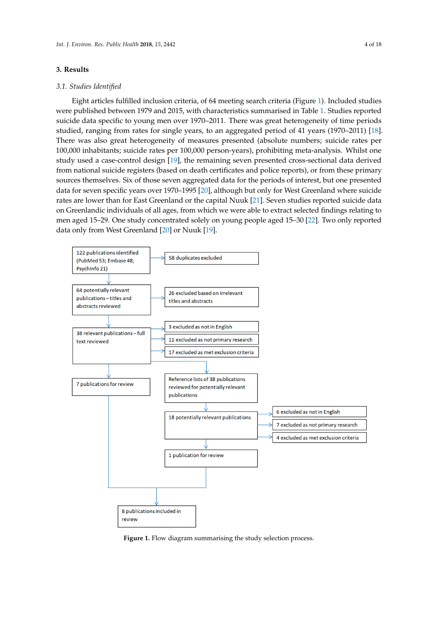# <span id="page-3-1"></span>**3. Results 3. Results**

# *3.1. Studies Identified 3.1. Studies Identified*

Eight articles fulfilled inclusion criteria, of 64 meeting search criteria (Figure 1). Included studies Eight articles fulfilled inclusion criteria, of 64 meeting search criteria ([Fig](#page-3-0)ure 1). Included were published between 1979 and 2015, with characteristics summarised [in](#page-8-0) Table 1. Studies reported suicide data specific to young men over 1970–2011. There was great heterogeneity of time periods studied, ranging from rates for single years, to an aggregated period of 41 years (1970–2011) [\[18\]](#page-16-3). There was also great heterogeneity of measures presented (absolute numbers; suicide rates per 100,000 inhabitants; suicide rates per 100,000 person-years), prohibiting meta-analysis. Whilst one 100,000 inhabitants; suicide rates per 100,000 person-years), prohibiting meta-analysis. Whilst one study used a case-control design [\[19\]](#page-16-4), the remaining seven presented cross-sectional data derived study used a case-control design [19], the remaining seven presented cross-sectional data derived from national suicide registers (based on death certificates and police reports), or from these primary from national suicide registers (based on death certificates and police reports), or from these primary sources themselves. Six of those seven aggregated data for the periods of interest, but one presented data for seven specific years over 1970–1995 [\[20\]](#page-16-5), although but only for West Greenland where suicide data for seven specific years over 1970–1995 [20], although but only for West Greenland where rates are lower than for East Greenland or the capital Nuuk [\[21\]](#page-16-6). Seven studies reported suicide data on Greenlandic individuals of all ages, from which we were able to extract selected findings relating to men aged 15–29. One study concentrated solely on young people aged 15–30 [\[22\]](#page-16-7). Two only reported data only from West Greenland [\[20\]](#page-16-5) or Nuuk [\[19\]](#page-16-4).

<span id="page-3-0"></span>

Figure 1. Flow diagram summarising the study selection process.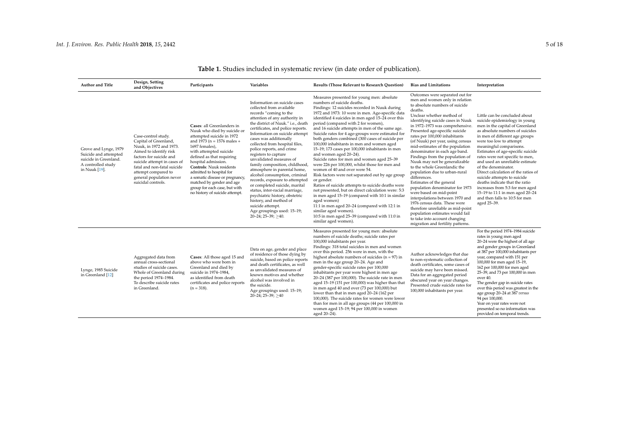| <b>Author and Title</b>                                                                                        | Design, Setting<br>and Objectives                                                                                                                                                                                                                                   | Participants                                                                                                                                                                                                                                                                                                                                                                                                              | Variables                                                                                                                                                                                                                                                                                                                                                                                                                                                                                                                                                                                                                                                                                                                              | <b>Results (Those Relevant to Research Ouestion)</b>                                                                                                                                                                                                                                                                                                                                                                                                                                                                                                                                                                                                                                                                                                                                                                                                                                                                                                                                                                                                                                              | <b>Bias and Limitations</b>                                                                                                                                                                                                                                                                                                                                                                                                                                                                                                                                                                                                                                                                                                                                                                                                                                    | Interpretation                                                                                                                                                                                                                                                                                                                                                                                                                                                                                                                                                                                |
|----------------------------------------------------------------------------------------------------------------|---------------------------------------------------------------------------------------------------------------------------------------------------------------------------------------------------------------------------------------------------------------------|---------------------------------------------------------------------------------------------------------------------------------------------------------------------------------------------------------------------------------------------------------------------------------------------------------------------------------------------------------------------------------------------------------------------------|----------------------------------------------------------------------------------------------------------------------------------------------------------------------------------------------------------------------------------------------------------------------------------------------------------------------------------------------------------------------------------------------------------------------------------------------------------------------------------------------------------------------------------------------------------------------------------------------------------------------------------------------------------------------------------------------------------------------------------------|---------------------------------------------------------------------------------------------------------------------------------------------------------------------------------------------------------------------------------------------------------------------------------------------------------------------------------------------------------------------------------------------------------------------------------------------------------------------------------------------------------------------------------------------------------------------------------------------------------------------------------------------------------------------------------------------------------------------------------------------------------------------------------------------------------------------------------------------------------------------------------------------------------------------------------------------------------------------------------------------------------------------------------------------------------------------------------------------------|----------------------------------------------------------------------------------------------------------------------------------------------------------------------------------------------------------------------------------------------------------------------------------------------------------------------------------------------------------------------------------------------------------------------------------------------------------------------------------------------------------------------------------------------------------------------------------------------------------------------------------------------------------------------------------------------------------------------------------------------------------------------------------------------------------------------------------------------------------------|-----------------------------------------------------------------------------------------------------------------------------------------------------------------------------------------------------------------------------------------------------------------------------------------------------------------------------------------------------------------------------------------------------------------------------------------------------------------------------------------------------------------------------------------------------------------------------------------------|
| Grove and Lynge, 1979<br>Suicide and attempted<br>suicide in Greenland.<br>A controlled study<br>in Nuuk [19]. | Case-control study.<br>Capital of Greenland,<br>Nuuk, in 1972 and 1973.<br>Aimed to identify risk<br>factors for suicide and<br>suicide attempt in cases of<br>fatal and non-fatal suicide<br>attempt compared to<br>general population never<br>suicidal controls. | Cases: all Greenlanders in<br>Nuuk who died by suicide or<br>attempted suicide in 1972<br>and 1973 ( $n = 1576$ males +<br>1697 females).<br>with attempted suicide<br>defined as that requiring<br>hospital admission.<br><b>Controls:</b> Nuuk residents<br>admitted to hospital for<br>a somatic disease or pregnancy,<br>matched by gender and age<br>group for each case, but with<br>no history of suicide attempt. | Information on suicide cases<br>collected from available<br>records "coming to the<br>attention of any authority in<br>the district of Nuuk." i.e., death<br>certificates, and police reports.<br>Information on suicide attempt<br>cases was additionally<br>collected from hospital files,<br>police reports, and crime<br>registers to capture<br>unvalidated measures of<br>family composition, childhood,<br>atmosphere in parental home,<br>alcohol consumption, criminal<br>records, exposure to attempted<br>or completed suicide, marital<br>status, inter-racial marriage,<br>psychiatric history, obstetric<br>history, and method of<br>suicide attempt.<br>Age groupings used: 15-19;<br>$20 - 24$ ; $25 - 39$ ; $> 40$ . | Measures presented for young men: absolute<br>numbers of suicide deaths.<br>Findings: 12 suicides recorded in Nuuk during<br>1972 and 1973: 10 were in men. Age-specific data<br>identified 4 suicides in men aged 15-24 over this<br>period (compared with 2 for women),<br>and 16 suicide attempts in men of the same age.<br>Suicide rates for 4 age-groups were estimated for<br>both genders combined (300 cases of suicide per<br>100,000 inhabitants in men and women aged<br>15-19; 173 cases per 100,000 inhabitants in men<br>and women aged 20-24).<br>Suicide rates for men and women aged 25-39<br>were 226 per 100,000, whilst those for men and<br>women of 40 and over were 54.<br>Risk factors were not separated out by age group<br>or gender.<br>Ratios of suicide attempts to suicide deaths were<br>not presented, but on direct calculation were: 5:3<br>in men aged 15-19 (compared with 10:1 in similar<br>aged women)<br>11:1 in men aged 20-24 (compared with 12:1 in<br>similar aged women).<br>10:5 in men aged 25-39 (compared with 11:0 in<br>similar aged women). | Outcomes were separated out for<br>men and women only in relation<br>to absolute numbers of suicide<br>deaths.<br>Unclear whether method of<br>identifying suicide cases in Nuuk<br>in 1972-1973 was comprehensive.<br>Presented age-specific suicide<br>rates per 100,000 inhabitants<br>(of Nuuk) per year, using census<br>mid-estimates of the population<br>denominator in each age band.<br>Findings from the population of<br>Nuuk may not be generalizable<br>to the whole Greenlandic the<br>population due to urban-rural<br>differences.<br>Estimates of the general<br>population denominator for 1973<br>were based on mid-point<br>interpolations between 1970 and<br>1976 census data. These were<br>therefore unreliable as mid-point<br>population estimates would fail<br>to take into account changing<br>migration and fertility patterns. | Little can be concluded about<br>suicide epidemiology in young<br>men in the capital of Greenland<br>as absolute numbers of suicides<br>in men of different age groups<br>were too low to attempt<br>meaningful comparisons.<br>Estimates of age-specific suicide<br>rates were not specific to men,<br>and used an unreliable estimate<br>of the denominator.<br>Direct calculation of the ratios of<br>suicide attempts to suicide<br>deaths indicate that the ratio<br>increases from 5:3 for men aged<br>15-19 to 11:1 in men aged 20-24<br>and then falls to 10:5 for men<br>aged 25-39. |
| Lynge, 1985 Suicide<br>in Greenland [12]                                                                       | Aggregated data from<br>annual cross-sectional<br>studies of suicide cases.<br>Whole of Greenland during<br>the period 1974-1984.<br>To describe suicide rates<br>in Greenland.                                                                                     | Cases: All those aged 15 and<br>above who were born in<br>Greenland and died by<br>suicide in 1974-1984,<br>as identified from death<br>certificates and police reports<br>$(n = 318)$ .                                                                                                                                                                                                                                  | Data on age, gender and place<br>of residence of those dying by<br>suicide, based on police reports<br>and death certificates, as well<br>as unvalidated measures of<br>known motives and whether<br>alcohol was involved in<br>the suicide.<br>Age groupings used: 15-19;<br>$20 - 24$ ; $25 - 39$ ; $>40$                                                                                                                                                                                                                                                                                                                                                                                                                            | Measures presented for young men: absolute<br>numbers of suicide deaths; suicide rates per<br>100,000 inhabitants per year.<br>Findings: 318 total suicides in men and women<br>over this period. 256 were in men, with the<br>highest absolute numbers of suicides ( $n = 97$ ) in<br>men in the age group 20-24. Age and<br>gender-specific suicide rates per 100,000<br>inhabitants per year were highest in men age<br>20-24 (387 per 100,000). The suicide rate in men<br>aged 15-19 (151 per 100,000) was higher than that<br>in men aged 40 and over (73 per 100,000) but<br>lower than that in men aged 20-24 (162 per<br>100,000). The suicide rates for women were lower<br>than for men in all age groups (44 per 100,000 in<br>women aged 15-19; 94 per 100,000 in women<br>aged 20-24).                                                                                                                                                                                                                                                                                              | Author acknowledges that due<br>to non-systematic collection of<br>death certificates, some cases of<br>suicide may have been missed.<br>Data for an aggregated period<br>obscured year on year changes.<br>Presented crude suicide rates for<br>100,000 inhabitants per year.                                                                                                                                                                                                                                                                                                                                                                                                                                                                                                                                                                                 | For the period 1974-1984 suicide<br>rates in young men aged<br>20-24 were the highest of all age<br>and gender groups in Greenland<br>at 387 per 100,000 inhabitants per<br>year, compared with 151 per<br>100,000 for men aged 15-19,<br>162 per 100,000 for men aged<br>25-39, and 73 per 100,000 in men<br>over 40.<br>The gender gap in suicide rates<br>over this period was greatest in the<br>age group 20-24 at 387 versus<br>94 per 100,000.<br>Year on year rates were not<br>presented so no information was<br>provided on temporal trends.                                       |

# **Table 1.** Studies included in systematic review (in date order of publication).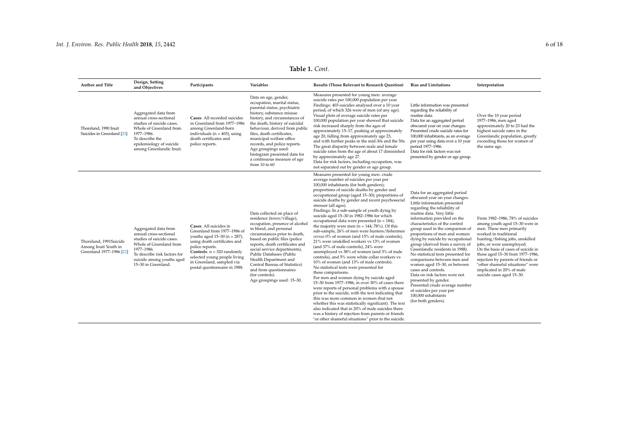| <b>Author and Title</b>                                                    | Design, Setting<br>and Objectives                                                                                                                                                                        | Participants                                                                                                                                                                                                                                                                     | Variables                                                                                                                                                                                                                                                                                                                                                                                                                   | <b>Results (Those Relevant to Research Question)</b>                                                                                                                                                                                                                                                                                                                                                                                                                                                                                                                                                                                                                                                                                                                                                                                                                                                                                                                                                                                                                                                                                                                                                                                                                                                                                                                                                 | <b>Bias and Limitations</b>                                                                                                                                                                                                                                                                                                                                                                                                                                                                                                                                                                                                                                                                                 | Interpretation                                                                                                                                                                                                                                                                                                                                                                                       |
|----------------------------------------------------------------------------|----------------------------------------------------------------------------------------------------------------------------------------------------------------------------------------------------------|----------------------------------------------------------------------------------------------------------------------------------------------------------------------------------------------------------------------------------------------------------------------------------|-----------------------------------------------------------------------------------------------------------------------------------------------------------------------------------------------------------------------------------------------------------------------------------------------------------------------------------------------------------------------------------------------------------------------------|------------------------------------------------------------------------------------------------------------------------------------------------------------------------------------------------------------------------------------------------------------------------------------------------------------------------------------------------------------------------------------------------------------------------------------------------------------------------------------------------------------------------------------------------------------------------------------------------------------------------------------------------------------------------------------------------------------------------------------------------------------------------------------------------------------------------------------------------------------------------------------------------------------------------------------------------------------------------------------------------------------------------------------------------------------------------------------------------------------------------------------------------------------------------------------------------------------------------------------------------------------------------------------------------------------------------------------------------------------------------------------------------------|-------------------------------------------------------------------------------------------------------------------------------------------------------------------------------------------------------------------------------------------------------------------------------------------------------------------------------------------------------------------------------------------------------------------------------------------------------------------------------------------------------------------------------------------------------------------------------------------------------------------------------------------------------------------------------------------------------------|------------------------------------------------------------------------------------------------------------------------------------------------------------------------------------------------------------------------------------------------------------------------------------------------------------------------------------------------------------------------------------------------------|
| Thorslund, 1990 Inuit<br>Suicides in Greenland [23]                        | Aggregated data from<br>annual cross-sectional<br>studies of suicide cases.<br>Whole of Greenland from<br>1977-1986.<br>To describe the<br>epidemiology of suicide<br>among Greenlandic Inuit.           | Cases: All recorded suicides<br>in Greenland from 1977-1986<br>among Greenland-born<br>individuals ( $n = 403$ ), using<br>death certificates and<br>police reports.                                                                                                             | Data on age, gender,<br>occupation, marital status,<br>parental status, psychiatric<br>history, substance misuse<br>history, and circumstances of<br>the death, history of suicidal<br>behaviour, derived from public<br>files, death certificates,<br>municipal welfare office<br>records, and police reports.<br>Age groupings used:<br>histogram presented data for<br>a continuous measure of age<br>from $10$ to $60$  | Measures presented for young men: average<br>suicide rates per 100,000 population per year.<br>Findings: 403 suicides analysed over a 10 year<br>period, of which 326 were of men (of any age).<br>Visual plots of average suicide rates per<br>100,000 population per year showed that suicide<br>risk increased sharply from the ages of<br>approximately 15-17, peaking at approximately<br>age 20, falling from approximately age 23,<br>and with further peaks in the mid-30s and the 50s.<br>The great disparity between male and female<br>suicide rates from the age of about 17 diminished<br>by approximately age 27.<br>Data for risk factors, including occupation, was<br>not separated out by gender or age group.                                                                                                                                                                                                                                                                                                                                                                                                                                                                                                                                                                                                                                                                     | Little information was presented<br>regarding the reliability of<br>routine data.<br>Data for an aggregated period<br>obscured year on year changes.<br>Presented crude suicide rates for<br>100,000 inhabitants, as an average<br>per year using data over a 10 year<br>period 1977-1986.<br>Data for risk factors was not<br>presented by gender or age group.                                                                                                                                                                                                                                                                                                                                            | Over the 10 year period<br>1977-1986, men aged<br>approximately 20 to 23 had the<br>highest suicide rates in the<br>Greenlandic population, greatly<br>exceeding those for women of<br>the same age.                                                                                                                                                                                                 |
| Thorslund, 1991Suicide<br>Among Inuit Youth in<br>Greenland 1977-1986 [22] | Aggregated data from<br>annual cross-sectional<br>studies of suicide cases.<br>Whole of Greenland from<br>1977-1986.<br>To describe risk factors for<br>suicide among youths aged<br>15-30 in Greenland. | Cases: All suicides in<br>Greenland from 1977-1986 of<br>youths aged $15-30$ (n = 287),<br>using death certificates and<br>police reports.<br><b>Controls</b> : $n = 320$ randomly<br>selected young people living<br>in Greenland, sampled via<br>postal questionnaire in 1988. | Data collected on place of<br>residence (town/village),<br>occupation, presence of alcohol<br>in blood, and personal<br>circumstances prior to death,<br>based on public files (police<br>reports, death certificates and<br>social service departments),<br>Public Databases (Public<br>Health Department and<br>Central Bureau of Statistics)<br>and from questionnaires<br>(for controls).<br>Age groupings used: 15-30. | Measures presented for young men: crude<br>average number of suicides per year per<br>100,000 inhabitants (for both genders);<br>proportions of suicide deaths by gender and<br>occupational group (aged 15-30); proportions of<br>suicide deaths by gender and recent psychosocial<br>stressor (all ages).<br>Findings: In a sub-sample of youth dying by<br>suicide aged 15-30 in 1982-1986 for which<br>occupational data were presented ( $n = 184$ ),<br>the majority were men ( $n = 144$ ; 78%). Of this<br>sub-sample, 26% of men were hunters/fishermer<br>versus 0% of women (and 15% of male controls),<br>21% were unskilled workers vs 13% of women<br>(and 37% of male controls), 24% were<br>unemployed vs 38% of women (and 3% of male<br>controls), and 5% were white collar workers vs<br>10% of women (and 13% of male controls).<br>No statistical tests were presented for<br>these comparisons.<br>For men and women dying by suicide aged<br>15-30 from 1977-1986, in over 30% of cases there<br>were reports of personal problems with a spouse<br>prior to the suicide, with the text indicating that<br>this was more common in women (but not<br>whether this was statistically significant). The text<br>also indicated that in 20% of male suicides there<br>was a history of rejection from parents or friends<br>"or other shameful situations" prior to the suicide. | Data for an aggregated period<br>obscured year on year changes.<br>Little information presented<br>regarding the reliability of<br>routine data. Very little<br>information provided on the<br>characteristics of the control<br>group used in the comparison of<br>proportions of men and women<br>dying by suicide by occupational<br>group (derived from a survey of<br>Greenlandic residents in 1988).<br>No statistical tests presented for<br>comparisons between men and<br>women aged 15-30, or between<br>cases and controls.<br>Data on risk factors were not<br>presented by gender.<br>Presented crude average number<br>of suicides per year per<br>100,000 inhabitants<br>(for both genders). | From 1982-1986, 78% of suicides<br>among youth aged 15-30 were in<br>men. These men primarily<br>worked in traditional<br>hunting/fishing jobs, unskilled<br>jobs, or were unemployed<br>On the basis of cases of suicide in<br>those aged 15-30 from 1977-1986,<br>rejection by parents of friends or<br>"other shameful situations" were<br>implicated in 20% of male<br>suicide cases aged 15-30. |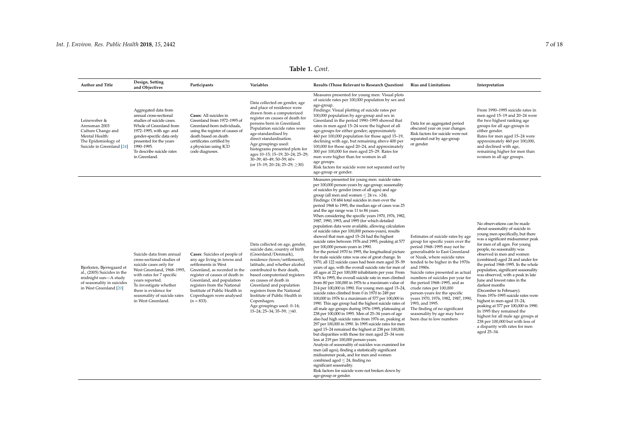| Author and Title                                                                                                                         | Design, Setting<br>and Objectives                                                                                                                                                                                                                                       | Participants                                                                                                                                                                                                                                                                                    | Variables                                                                                                                                                                                                                                                                                                                                                                                                                          | <b>Results (Those Relevant to Research Question)</b>                                                                                                                                                                                                                                                                                                                                                                                                                                                                                                                                                                                                                                                                                                                                                                                                                                                                                                                                                                                                                                                                                                                                                                                                                                                                                                                                                                                                                                                                                                                                                                                                                                                                                                                                                                                                                                                                                                                                                                                                       | <b>Bias and Limitations</b>                                                                                                                                                                                                                                                                                                                                                                                                                                                                                                                         | Interpretation                                                                                                                                                                                                                                                                                                                                                                                                                                                                                                                                                                                                                                                                                                                            |
|------------------------------------------------------------------------------------------------------------------------------------------|-------------------------------------------------------------------------------------------------------------------------------------------------------------------------------------------------------------------------------------------------------------------------|-------------------------------------------------------------------------------------------------------------------------------------------------------------------------------------------------------------------------------------------------------------------------------------------------|------------------------------------------------------------------------------------------------------------------------------------------------------------------------------------------------------------------------------------------------------------------------------------------------------------------------------------------------------------------------------------------------------------------------------------|------------------------------------------------------------------------------------------------------------------------------------------------------------------------------------------------------------------------------------------------------------------------------------------------------------------------------------------------------------------------------------------------------------------------------------------------------------------------------------------------------------------------------------------------------------------------------------------------------------------------------------------------------------------------------------------------------------------------------------------------------------------------------------------------------------------------------------------------------------------------------------------------------------------------------------------------------------------------------------------------------------------------------------------------------------------------------------------------------------------------------------------------------------------------------------------------------------------------------------------------------------------------------------------------------------------------------------------------------------------------------------------------------------------------------------------------------------------------------------------------------------------------------------------------------------------------------------------------------------------------------------------------------------------------------------------------------------------------------------------------------------------------------------------------------------------------------------------------------------------------------------------------------------------------------------------------------------------------------------------------------------------------------------------------------------|-----------------------------------------------------------------------------------------------------------------------------------------------------------------------------------------------------------------------------------------------------------------------------------------------------------------------------------------------------------------------------------------------------------------------------------------------------------------------------------------------------------------------------------------------------|-------------------------------------------------------------------------------------------------------------------------------------------------------------------------------------------------------------------------------------------------------------------------------------------------------------------------------------------------------------------------------------------------------------------------------------------------------------------------------------------------------------------------------------------------------------------------------------------------------------------------------------------------------------------------------------------------------------------------------------------|
| Leineweber &<br>Arensman 2003<br>Culture Change and<br>Mental Health:<br>The Epidemiology of<br>Suicide in Greenland [24]                | Aggregated data from<br>annual cross-sectional<br>studies of suicide cases.<br>Whole of Greenland from<br>1972-1995, with age- and<br>gender-specific data only<br>presented for the years<br>1990-1995.<br>To describe suicide rates<br>in Greenland.                  | Cases: All suicides in<br>Greenland from 1972-1995 of<br>Greenland-born individuals,<br>using the register of causes of<br>death based on death<br>certificates certified by<br>a physician using ICD<br>code diagnoses.                                                                        | Data collected on gender, age<br>and place of residence were<br>drawn from a computerized<br>register on causes of death for<br>persons born in Greenland.<br>Population suicide rates were<br>age-standardised by<br>direct standardisation.<br>Age groupings used:<br>histograms presented plots for<br>ages 10-15; 15-19; 20-24; 25-29;<br>30-39; 40-49; 50-59; 60+<br>(or $15-19$ ; $20-24$ ; $25-29$ ; $>30$ )                | Measures presented for young men: Visual plots<br>of suicide rates per 100,000 population by sex and<br>age-group.<br>Findings: Visual plotting of suicide rates per<br>100,000 population by age-group and sex in<br>Greenland in the period 1990-1995 showed that<br>rates in men aged 15-24 were the highest of all<br>age-groups for either gender; approximately<br>460 per 100,000 population for those aged 15-19,<br>declining with age, but remaining above 400 per<br>100,000 for those aged 20–24, and approximately<br>300 per 100,000 for men aged 25-29. Rates for<br>men were higher than for women in all<br>age groups.<br>Risk factors for suicide were not separated out by<br>age-group or gender.                                                                                                                                                                                                                                                                                                                                                                                                                                                                                                                                                                                                                                                                                                                                                                                                                                                                                                                                                                                                                                                                                                                                                                                                                                                                                                                                     | Data for an aggregated period<br>obscured year on year changes.<br>Risk factors for suicide were not<br>separated out by age-group<br>or gender.                                                                                                                                                                                                                                                                                                                                                                                                    | From 1990-1995 suicide rates in<br>men aged 15-19 and 20-24 were<br>the two highest ranking age<br>groups for all age-groups in<br>either gender.<br>Rates for men aged 15-24 were<br>approximately 460 per 100,000,<br>and declined with age,<br>remaining higher for men than<br>women in all age groups.                                                                                                                                                                                                                                                                                                                                                                                                                               |
| Bjorksten, Bjerregaard et<br>al., (2005) Suicides in the<br>midnight sun-A study<br>of seasonality in suicides<br>in West Greenland [20] | Suicide data from annual<br>cross-sectional studies of<br>suicide cases only for<br>West Greenland, 1968-1995,<br>with rates for 7 specific<br>years reported.<br>To investigate whether<br>there is evidence for<br>seasonality of suicide rates<br>in West Greenland. | Cases: Suicides of people of<br>any age living in towns and<br>settlements in West<br>Greenland, as recorded in the<br>register of causes of death in<br>Greenland, and population<br>registers from the National<br>Institute of Public Health in<br>Copenhagen were analysed<br>$(n = 833)$ . | Data collected on age, gender,<br>suicide date, country of birth<br>(Greenland/Denmark),<br>residence (town/settlement),<br>latitude, and whether alcohol<br>contributed to their death,<br>based computerised registers<br>on causes of death in<br>Greenland and population<br>registers from the National<br>Institute of Public Health in<br>Copenhagen.<br>Age groupings used: 0-14;<br>$15-24$ ; $25-34$ ; $35-59$ ; $>60$ . | Measures presented for young men: suicide rates<br>per 100,000 person-years by age-group; seasonality<br>of suicides by gender (men of all ages) and age<br>group (all men and women $\leq$ 24 vs. >24).<br>Findings: Of 684 total suicides in men over the<br>period 1968 to 1995, the median age of cases was 25<br>and the age range was 11 to 84 years.<br>When considering the specific years 1970, 1976, 1982,<br>1987, 1990, 1993, and 1995 (for which detailed<br>population data were available, allowing calculation<br>of suicide rates per 100,000 person-years), results<br>showed that men aged 15-24 had the highest<br>suicide rates between 1976 and 1995, peaking at 577<br>per 100,000 person-years in 1990.<br>For the period 1970 to 1995, the longitudinal picture<br>for male suicide rates was one of great change. In<br>1970, all 122 suicide cases had been men aged 35-59<br>years of age, with the overall suicide rate for men of<br>all ages at 22 per 100,000 inhabitants per year. From<br>1976 to 1995, the overall suicide rate in men climbed<br>from 80 per 100,000 in 1976 to a maximum value of<br>214 per 100,000 in 1990. For young men aged 15-24,<br>suicide rates climbed from 0 in 1970 to 249 per<br>100,000 in 1976 to a maximum of 577 per 100,000 in<br>1990. This age group had the highest suicide rates of<br>all male age groups during 1976-1995, plateauing at<br>238 per 100,000 in 1995. Men of 25-34 years of age<br>also had high suicide rates from 1976 on, peaking at<br>297 per 100,000 in 1990. In 1995 suicide rates for men<br>aged 15-24 remained the highest at 238 per 100,000,<br>but disparities with those for men aged 25-34 were<br>less at 219 per 100,000 person-years.<br>Analysis of seasonality of suicides was examined for<br>men (all ages), finding a statistically significant<br>midsummer peak, and for men and women<br>combined aged $\leq$ 24, finding no<br>significant seasonality.<br>Risk factors for suicide were not broken down by<br>age-group or gender. | Estimates of suicide rates by age<br>group for specific years over the<br>period 1968-1995 may not be<br>generalisable to East Greenland<br>or Nuuk, where suicide rates<br>tended to be higher in the 1970s<br>and 1980s.<br>Suicide rates presented as actual<br>numbers of suicides per year for<br>the period 1968-1995, and as<br>crude rates per 100,000<br>person-years for the specific<br>years 1970, 1976, 1982, 1987, 1990<br>1993, and 1995.<br>The finding of no significant<br>seasonality by age may have<br>been due to low numbers | No observations can be made<br>about seasonality of suicide in<br>young men specifically, but there<br>was a significant midsummer peak<br>for men of all ages. For young<br>people, no seasonality was<br>observed in men and women<br>(combined) aged 24 and under for<br>the period 1968-1995. In the whole<br>population, significant seasonality<br>was observed, with a peak in late<br>June and lowest rates in the<br>darkest months<br>(December to February).<br>From 1976-1995 suicide rates were<br>highest in men aged 15-24,<br>peaking at 577 per 100,000 in 1990.<br>In 1995 they remained the<br>highest for all male age groups at<br>238 per 100,000 but with less of<br>a disparity with rates for men<br>aged 25-34. |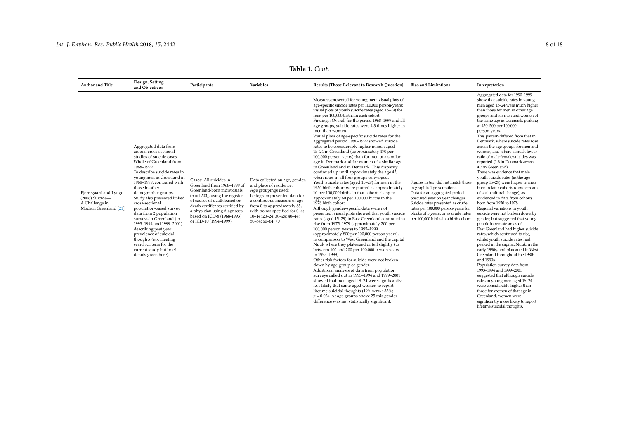| <b>Author and Title</b>                                                               | Design, Setting<br>and Objectives                                                                                                                                                                                                                                                                                                                                                                                                                                                                                                                                              | Participants                                                                                                                                                                                                                                                                      | Variables                                                                                                                                                                                                                                                           | <b>Results (Those Relevant to Research Question)</b>                                                                                                                                                                                                                                                                                                                                                                                                                                                                                                                                                                                                                                                                                                                                                                                                                                                                                                                                                                                                                                                                                                                                                                                                                                                                                                                                                                                                                                                                                                                                                                                                                                                                                                                                                                                                                                                                        | <b>Bias and Limitations</b>                                                                                                                                                                                                                                                                      | Interpretation                                                                                                                                                                                                                                                                                                                                                                                                                                                                                                                                                                                                                                                                                                                                                                                                                                                                                                                                                                                                                                                                                                                                                                                                                                                                                                                                                                                                              |
|---------------------------------------------------------------------------------------|--------------------------------------------------------------------------------------------------------------------------------------------------------------------------------------------------------------------------------------------------------------------------------------------------------------------------------------------------------------------------------------------------------------------------------------------------------------------------------------------------------------------------------------------------------------------------------|-----------------------------------------------------------------------------------------------------------------------------------------------------------------------------------------------------------------------------------------------------------------------------------|---------------------------------------------------------------------------------------------------------------------------------------------------------------------------------------------------------------------------------------------------------------------|-----------------------------------------------------------------------------------------------------------------------------------------------------------------------------------------------------------------------------------------------------------------------------------------------------------------------------------------------------------------------------------------------------------------------------------------------------------------------------------------------------------------------------------------------------------------------------------------------------------------------------------------------------------------------------------------------------------------------------------------------------------------------------------------------------------------------------------------------------------------------------------------------------------------------------------------------------------------------------------------------------------------------------------------------------------------------------------------------------------------------------------------------------------------------------------------------------------------------------------------------------------------------------------------------------------------------------------------------------------------------------------------------------------------------------------------------------------------------------------------------------------------------------------------------------------------------------------------------------------------------------------------------------------------------------------------------------------------------------------------------------------------------------------------------------------------------------------------------------------------------------------------------------------------------------|--------------------------------------------------------------------------------------------------------------------------------------------------------------------------------------------------------------------------------------------------------------------------------------------------|-----------------------------------------------------------------------------------------------------------------------------------------------------------------------------------------------------------------------------------------------------------------------------------------------------------------------------------------------------------------------------------------------------------------------------------------------------------------------------------------------------------------------------------------------------------------------------------------------------------------------------------------------------------------------------------------------------------------------------------------------------------------------------------------------------------------------------------------------------------------------------------------------------------------------------------------------------------------------------------------------------------------------------------------------------------------------------------------------------------------------------------------------------------------------------------------------------------------------------------------------------------------------------------------------------------------------------------------------------------------------------------------------------------------------------|
| Bjerregaard and Lynge<br>$(2006)$ Suicide-<br>A Challenge in<br>Modern Greenland [21] | Aggregated data from<br>annual cross-sectional<br>studies of suicide cases.<br>Whole of Greenland from<br>1968-1999.<br>To describe suicide rates in<br>young men in Greenland in<br>1968-1999, compared with<br>those in other<br>demographic groups.<br>Study also presented linked<br>cross-sectional<br>population-based survey<br>data from 2 population<br>surveys in Greenland (in<br>1993-1994 and 1999-2001)<br>describing past year<br>prevalence of suicidal<br>thoughts (not meeting<br>search criteria for the<br>current study but brief<br>details given here). | Cases: All suicides in<br>Greenland from 1968-1999 of<br>Greenland-born individuals<br>$(n = 1203)$ , using the register<br>of causes of death based on<br>death certificates certified by<br>a physician using diagnoses<br>based on ICD-8 (1968-1993)<br>or ICD-10 (1994-1999). | Data collected on age, gender,<br>and place of residence.<br>Age groupings used:<br>histogram presented data for<br>a continuous measure of age<br>from 0 to approximately 85,<br>with points specified for 0-4;<br>10-14; 20-24; 30-24; 40-44;<br>50-54; 60-64; 70 | Measures presented for young men: visual plots of<br>age-specific suicide rates per 100,000 person-years;<br>visual plots of youth suicide rates (aged 15-29) for<br>men per 100,000 births in each cohort.<br>Findings: Overall for the period 1968-1999 and all<br>age groups, suicide rates were 4.3 times higher in<br>men than women.<br>Visual plots of age-specific suicide rates for the<br>aggregated period 1990-1999 showed suicide<br>rates to be considerably higher in men aged<br>15-24 in Greenland (approximately 470 per<br>100,000 person-years) than for men of a similar<br>age in Denmark and for women of a similar age<br>in Greenland and in Denmark. This disparity<br>continued up until approximately the age 45,<br>when rates in all four groups converged.<br>Youth suicide rates (aged 15-29) for men in the<br>1950 birth cohort were plotted as approximately<br>10 per 100,000 births in that cohort, rising to<br>approximately 60 per 100,000 births in the<br>1978 birth cohort.<br>Although gender-specific data were not<br>presented, visual plots showed that youth suicide<br>rates (aged 15-29) in East Greenland continued to<br>rise from 1975-1979 (approximately 200 per<br>100,000 person years) to 1995-1999<br>(approximately 800 per 100,000 person years),<br>in comparison to West Greenland and the capital<br>Nuuk where they plateaued or fell slightly (to<br>between 100 and 200 per 100,000 person years<br>in 1995-1999).<br>Other risk factors for suicide were not broken<br>down by age-group or gender.<br>Additional analysis of data from population<br>surveys called out in 1993-1994 and 1999-2001<br>showed that men aged 18-24 were significantly<br>less likely that same-aged women to report<br>lifetime suicidal thoughts (19% versus 33%;<br>$p = 0.03$ ). At age groups above 25 this gender<br>difference was not statistically significant. | Figures in text did not match those<br>in graphical presentations.<br>Data for an aggregated period<br>obscured year on year changes.<br>Suicide rates presented as crude<br>rates per 100,000 person-years for<br>blocks of 5 years, or as crude rates<br>per 100,000 births in a birth cohort. | Aggregated data for 1990-1999<br>show that suicide rates in young<br>men aged 15-24 were much higher<br>than those for men in other age<br>groups and for men and women of<br>the same age in Denmark, peaking<br>at 450-500 per 100,000<br>person-years.<br>This pattern differed from that in<br>Denmark, where suicide rates rose<br>across the age groups for men and<br>women, and where a much lower<br>ratio of male:female suicides was<br>reported (1.8 in Denmark versus<br>4.3 in Greenland).<br>There was evidence that male<br>youth suicide rates (in the age<br>group 15-29) were higher in men<br>born in later cohorts (downstream<br>of sociocultural change), as<br>evidenced in data from cohorts<br>born from 1950 to 1978.<br>Regional variations in youth<br>suicide were not broken down by<br>gender, but suggested that young<br>people in remote areas of<br>East Greenland had higher suicide<br>rates, which continued to rise,<br>whilst youth suicide rates had<br>peaked in the capital, Nuuk, in the<br>early 1980s, and plateaued in West<br>Greenland throughout the 1980s<br>and 1990s.<br>Population survey data from<br>1993-1994 and 1999-2001<br>suggested that although suicide<br>rates in young men aged 15-24<br>were considerably higher than<br>those for women of that age in<br>Greenland, women were<br>significantly more likely to report<br>lifetime suicidal thoughts. |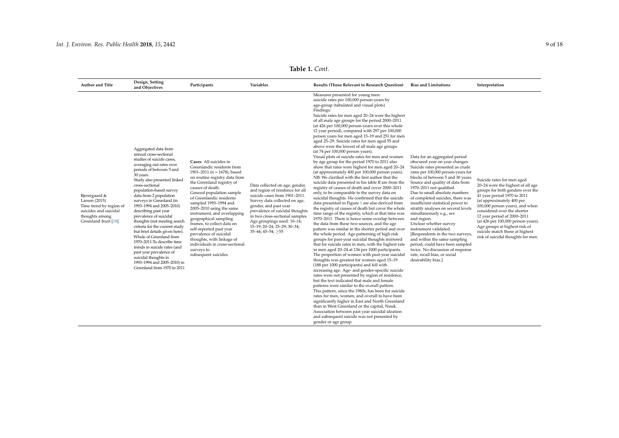<span id="page-8-0"></span>

| <b>Author and Title</b>                                                                                                      | Design, Setting<br>and Objectives                                                                                                                                                                                                                                                                                                                                                                                                                                                                                                                                                                                                                                               | Participants                                                                                                                                                                                                                                                                                                                                                                                                                                                                                                                            | <b>Variables</b>                                                                                                                                                                                                                                                                                                             | <b>Results (Those Relevant to Research Ouestion)</b>                                                                                                                                                                                                                                                                                                                                                                                                                                                                                                                                                                                                                                                                                                                                                                                                                                                                                                                                                                                                                                                                                                                                                                                                                                                                                                                                                                                                                                                                                                                                                                                                                                                                                                                                                                                                                                                                                                                                                                                                                                                                                                                                                                                                          | <b>Bias and Limitations</b>                                                                                                                                                                                                                                                                                                                                                                                                                                                                                                                                                                                                                                                                    | Interpretation                                                                                                                                                                                                                                                                                                                                                                                                  |
|------------------------------------------------------------------------------------------------------------------------------|---------------------------------------------------------------------------------------------------------------------------------------------------------------------------------------------------------------------------------------------------------------------------------------------------------------------------------------------------------------------------------------------------------------------------------------------------------------------------------------------------------------------------------------------------------------------------------------------------------------------------------------------------------------------------------|-----------------------------------------------------------------------------------------------------------------------------------------------------------------------------------------------------------------------------------------------------------------------------------------------------------------------------------------------------------------------------------------------------------------------------------------------------------------------------------------------------------------------------------------|------------------------------------------------------------------------------------------------------------------------------------------------------------------------------------------------------------------------------------------------------------------------------------------------------------------------------|---------------------------------------------------------------------------------------------------------------------------------------------------------------------------------------------------------------------------------------------------------------------------------------------------------------------------------------------------------------------------------------------------------------------------------------------------------------------------------------------------------------------------------------------------------------------------------------------------------------------------------------------------------------------------------------------------------------------------------------------------------------------------------------------------------------------------------------------------------------------------------------------------------------------------------------------------------------------------------------------------------------------------------------------------------------------------------------------------------------------------------------------------------------------------------------------------------------------------------------------------------------------------------------------------------------------------------------------------------------------------------------------------------------------------------------------------------------------------------------------------------------------------------------------------------------------------------------------------------------------------------------------------------------------------------------------------------------------------------------------------------------------------------------------------------------------------------------------------------------------------------------------------------------------------------------------------------------------------------------------------------------------------------------------------------------------------------------------------------------------------------------------------------------------------------------------------------------------------------------------------------------|------------------------------------------------------------------------------------------------------------------------------------------------------------------------------------------------------------------------------------------------------------------------------------------------------------------------------------------------------------------------------------------------------------------------------------------------------------------------------------------------------------------------------------------------------------------------------------------------------------------------------------------------------------------------------------------------|-----------------------------------------------------------------------------------------------------------------------------------------------------------------------------------------------------------------------------------------------------------------------------------------------------------------------------------------------------------------------------------------------------------------|
| Bjerregaard &<br>Larson (2015)<br>Time trend by region of<br>suicides and suicidal<br>thoughts among<br>Greenland Inuit [18] | Aggregated data from<br>annual cross-sectional<br>studies of suicide cases,<br>averaging out rates over<br>periods of between 5 and<br>30 years<br>Study also presented linked<br>cross-sectional<br>population-based survey<br>data from 2 population<br>surveys in Greenland (in<br>1993-1994 and 2005-2010)<br>describing past year<br>prevalence of suicidal<br>thoughts (not meeting search<br>criteria for the current study<br>but brief details given here).<br>Whole of Greenland from<br>1970-2011. To describe time<br>trends in suicide rates (and<br>past year prevalence of<br>suicidal thoughts in<br>1993-1994 and 2005-2010) in<br>Greenland from 1970 to 2011 | Cases: All suicides in<br>Greenlandic residents from<br>1901-2011 ( $n = 1678$ ), based<br>on routine registry data from<br>the Greenland registry of<br>causes of death.<br>General population sample<br>of Greenlandic residents<br>sampled 1993-1994 and<br>2005-2010 using the same<br>instrument, and overlapping<br>geographical sampling<br>frames, to collect data on<br>self-reported past year<br>prevalence of suicidal<br>thoughts, with linkage of<br>individuals in cross-sectional<br>surveys to<br>subsequent suicides. | Data collected on age, gender,<br>and region of residence for all<br>suicide cases from 1901-2011.<br>Survey data collected on age,<br>gender, and past year<br>prevalence of suicidal thoughts<br>in two cross-sectional samples.<br>Age groupings used: 10-14;<br>15-19; 20-24; 25-29; 30-34;<br>$35-44$ ; $45-54$ ; $>55$ | Measures presented for young men:<br>suicide rates per 100,000 person-years by<br>age-group (tabulated and visual plots)<br>Findings:<br>Suicide rates for men aged 20-24 were the highest<br>of all male age groups for the period 2000-2011<br>(at 426 per 100,000 person-years over this whole<br>12 year period), compared with 297 per 100,000<br>person years for men aged 15-19 and 251 for men<br>aged 25-29. Suicide rates for men aged 55 and<br>above were the lowest of all male age groups<br>(at 74 per 100,000 person years).<br>Visual plots of suicide rates for men and women<br>by age group for the period 1970 to 2011 also<br>show that rates were highest for men aged 20-24<br>(at approximately 400 per 100,000 person years).<br>NB: We clarified with the first author that the<br>suicide data presented in his table II are from the<br>registry of causes of death and cover 2000-2011<br>only, to be comparable to the survey data on<br>suicidal thoughts. He confirmed that the suicide<br>data presented in Figure 1 are also derived from<br>the registry of causes of death but cover the whole<br>time range of the registry, which at that time was<br>1970-2011. There is hence some overlap between<br>the data from these two sources, and the age<br>pattern was similar in the shorter period and over<br>the whole period. Age patterning of high risk<br>groups for past-year suicidal thoughts mirrored<br>that for suicide rates in men, with the highest rate<br>in men aged 20-24 at 136 per 1000 participants.<br>The proportion of women with past-year suicidal<br>thoughts was greatest for women aged 15-19<br>(188 per 1000 participants) and fell with<br>increasing age. Age- and gender-specific suicide<br>rates were not presented by region of residence,<br>but the text indicated that male and female<br>patterns were similar to the overall pattern.<br>This pattern, since the 1980s, has been for suicide<br>rates for men, women, and overall to have been<br>significantly higher in East and North Greenland<br>than in West Greenland or the capital, Nuuk.<br>Association between past year suicidal ideation<br>and subsequent suicide was not presented by<br>gender or age group. | Data for an aggregated period<br>obscured year on year changes.<br>Suicide rates presented as crude<br>rates per 100,000 person-years for<br>blocks of between 5 and 30 years.<br>Source and quality of data from<br>1970-2011 not qualified.<br>Due to small absolute numbers<br>of completed suicides, there was<br>insufficient statistical power to<br>stratify analyses on several levels<br>simultaneously e.g., sex<br>and region.<br>Unclear whether survey<br>instrument validated.<br>[Respondents in the two surveys,<br>and within the same sampling<br>period, could have been sampled<br>twice. No discussion of response<br>rate, recall bias, or social<br>desirability bias.] | Suicide rates for men aged<br>20-24 were the highest of all age<br>groups for both genders over the<br>41 year period 1970 to 2011<br>(at approximately 400 per<br>100,000 person years), and when<br>considered over the shorter<br>12 year period of 2000-2011<br>(at 426 per 100,000 person-years).<br>Age groups at highest risk of<br>suicide match those at highest<br>risk of suicidal thoughts for men. |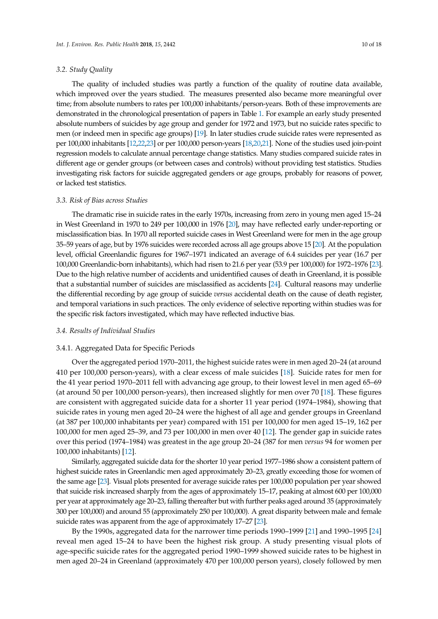#### *3.2. Study Quality*

The quality of included studies was partly a function of the quality of routine data available, which improved over the years studied. The measures presented also became more meaningful over time; from absolute numbers to rates per 100,000 inhabitants/person-years. Both of these improvements are demonstrated in the chronological presentation of papers in Table [1.](#page-8-0) For example an early study presented absolute numbers of suicides by age group and gender for 1972 and 1973, but no suicide rates specific to men (or indeed men in specific age groups) [\[19\]](#page-16-4). In later studies crude suicide rates were represented as per 100,000 inhabitants [\[12](#page-15-11)[,22](#page-16-7)[,23\]](#page-16-15) or per 100,000 person-years [\[18,](#page-16-3)[20,](#page-16-5)[21\]](#page-16-6). None of the studies used join-point regression models to calculate annual percentage change statistics. Many studies compared suicide rates in different age or gender groups (or between cases and controls) without providing test statistics. Studies investigating risk factors for suicide aggregated genders or age groups, probably for reasons of power, or lacked test statistics.

#### *3.3. Risk of Bias across Studies*

The dramatic rise in suicide rates in the early 1970s, increasing from zero in young men aged 15–24 in West Greenland in 1970 to 249 per 100,000 in 1976 [\[20\]](#page-16-5), may have reflected early under-reporting or misclassification bias. In 1970 all reported suicide cases in West Greenland were for men in the age group 35–59 years of age, but by 1976 suicides were recorded across all age groups above 15 [\[20\]](#page-16-5). At the population level, official Greenlandic figures for 1967–1971 indicated an average of 6.4 suicides per year (16.7 per 100,000 Greenlandic-born inhabitants), which had risen to 21.6 per year (53.9 per 100,000) for 1972–1976 [\[23\]](#page-16-15). Due to the high relative number of accidents and unidentified causes of death in Greenland, it is possible that a substantial number of suicides are misclassified as accidents [\[24\]](#page-16-16). Cultural reasons may underlie the differential recording by age group of suicide *versus* accidental death on the cause of death register, and temporal variations in such practices. The only evidence of selective reporting within studies was for the specific risk factors investigated, which may have reflected inductive bias.

#### *3.4. Results of Individual Studies*

#### 3.4.1. Aggregated Data for Specific Periods

Over the aggregated period 1970–2011, the highest suicide rates were in men aged 20–24 (at around 410 per 100,000 person-years), with a clear excess of male suicides [\[18\]](#page-16-3). Suicide rates for men for the 41 year period 1970–2011 fell with advancing age group, to their lowest level in men aged 65–69 (at around 50 per 100,000 person-years), then increased slightly for men over 70 [\[18\]](#page-16-3). These figures are consistent with aggregated suicide data for a shorter 11 year period (1974–1984), showing that suicide rates in young men aged 20–24 were the highest of all age and gender groups in Greenland (at 387 per 100,000 inhabitants per year) compared with 151 per 100,000 for men aged 15–19, 162 per 100,000 for men aged 25–39, and 73 per 100,000 in men over 40 [\[12\]](#page-15-11). The gender gap in suicide rates over this period (1974–1984) was greatest in the age group 20–24 (387 for men *versus* 94 for women per 100,000 inhabitants) [\[12\]](#page-15-11).

Similarly, aggregated suicide data for the shorter 10 year period 1977–1986 show a consistent pattern of highest suicide rates in Greenlandic men aged approximately 20–23, greatly exceeding those for women of the same age [\[23\]](#page-16-15). Visual plots presented for average suicide rates per 100,000 population per year showed that suicide risk increased sharply from the ages of approximately 15–17, peaking at almost 600 per 100,000 per year at approximately age 20–23, falling thereafter but with further peaks aged around 35 (approximately 300 per 100,000) and around 55 (approximately 250 per 100,000). A great disparity between male and female suicide rates was apparent from the age of approximately 17–27 [\[23\]](#page-16-15).

By the 1990s, aggregated data for the narrower time periods 1990–1999 [\[21\]](#page-16-6) and 1990–1995 [\[24\]](#page-16-16) reveal men aged 15–24 to have been the highest risk group. A study presenting visual plots of age-specific suicide rates for the aggregated period 1990–1999 showed suicide rates to be highest in men aged 20–24 in Greenland (approximately 470 per 100,000 person years), closely followed by men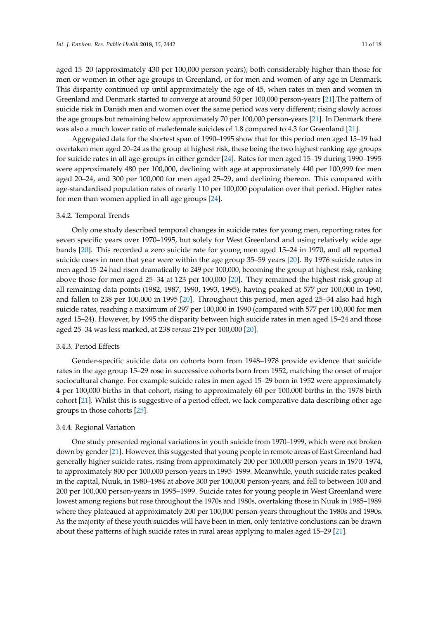aged 15–20 (approximately 430 per 100,000 person years); both considerably higher than those for men or women in other age groups in Greenland, or for men and women of any age in Denmark. This disparity continued up until approximately the age of 45, when rates in men and women in Greenland and Denmark started to converge at around 50 per 100,000 person-years [\[21\]](#page-16-6).The pattern of suicide risk in Danish men and women over the same period was very different; rising slowly across the age groups but remaining below approximately 70 per 100,000 person-years [\[21\]](#page-16-6). In Denmark there was also a much lower ratio of male:female suicides of 1.8 compared to 4.3 for Greenland [\[21\]](#page-16-6).

Aggregated data for the shortest span of 1990–1995 show that for this period men aged 15–19 had overtaken men aged 20–24 as the group at highest risk, these being the two highest ranking age groups for suicide rates in all age-groups in either gender [\[24\]](#page-16-16). Rates for men aged 15–19 during 1990–1995 were approximately 480 per 100,000, declining with age at approximately 440 per 100,999 for men aged 20–24, and 300 per 100,000 for men aged 25–29, and declining thereon. This compared with age-standardised population rates of nearly 110 per 100,000 population over that period. Higher rates for men than women applied in all age groups [\[24\]](#page-16-16).

#### 3.4.2. Temporal Trends

Only one study described temporal changes in suicide rates for young men, reporting rates for seven specific years over 1970–1995, but solely for West Greenland and using relatively wide age bands [\[20\]](#page-16-5). This recorded a zero suicide rate for young men aged 15–24 in 1970, and all reported suicide cases in men that year were within the age group 35–59 years [\[20\]](#page-16-5). By 1976 suicide rates in men aged 15–24 had risen dramatically to 249 per 100,000, becoming the group at highest risk, ranking above those for men aged 25–34 at 123 per 100,000 [\[20\]](#page-16-5). They remained the highest risk group at all remaining data points (1982, 1987, 1990, 1993, 1995), having peaked at 577 per 100,000 in 1990, and fallen to 238 per 100,000 in 1995 [\[20\]](#page-16-5). Throughout this period, men aged 25–34 also had high suicide rates, reaching a maximum of 297 per 100,000 in 1990 (compared with 577 per 100,000 for men aged 15–24). However, by 1995 the disparity between high suicide rates in men aged 15–24 and those aged 25–34 was less marked, at 238 *versus* 219 per 100,000 [\[20\]](#page-16-5).

#### 3.4.3. Period Effects

Gender-specific suicide data on cohorts born from 1948–1978 provide evidence that suicide rates in the age group 15–29 rose in successive cohorts born from 1952, matching the onset of major sociocultural change. For example suicide rates in men aged 15–29 born in 1952 were approximately 4 per 100,000 births in that cohort, rising to approximately 60 per 100,000 births in the 1978 birth cohort [\[21\]](#page-16-6). Whilst this is suggestive of a period effect, we lack comparative data describing other age groups in those cohorts [\[25\]](#page-16-17).

#### 3.4.4. Regional Variation

One study presented regional variations in youth suicide from 1970–1999, which were not broken down by gender [\[21\]](#page-16-6). However, this suggested that young people in remote areas of East Greenland had generally higher suicide rates, rising from approximately 200 per 100,000 person-years in 1970–1974, to approximately 800 per 100,000 person-years in 1995–1999. Meanwhile, youth suicide rates peaked in the capital, Nuuk, in 1980–1984 at above 300 per 100,000 person-years, and fell to between 100 and 200 per 100,000 person-years in 1995–1999. Suicide rates for young people in West Greenland were lowest among regions but rose throughout the 1970s and 1980s, overtaking those in Nuuk in 1985–1989 where they plateaued at approximately 200 per 100,000 person-years throughout the 1980s and 1990s. As the majority of these youth suicides will have been in men, only tentative conclusions can be drawn about these patterns of high suicide rates in rural areas applying to males aged 15–29 [\[21\]](#page-16-6).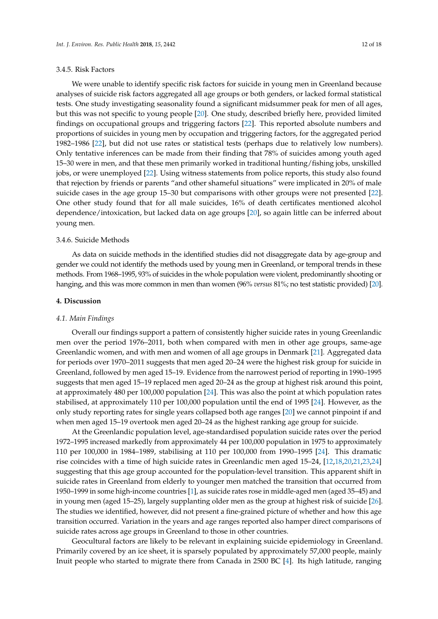#### 3.4.5. Risk Factors

We were unable to identify specific risk factors for suicide in young men in Greenland because analyses of suicide risk factors aggregated all age groups or both genders, or lacked formal statistical tests. One study investigating seasonality found a significant midsummer peak for men of all ages, but this was not specific to young people [\[20\]](#page-16-5). One study, described briefly here, provided limited findings on occupational groups and triggering factors [\[22\]](#page-16-7). This reported absolute numbers and proportions of suicides in young men by occupation and triggering factors, for the aggregated period 1982–1986 [\[22\]](#page-16-7), but did not use rates or statistical tests (perhaps due to relatively low numbers). Only tentative inferences can be made from their finding that 78% of suicides among youth aged 15–30 were in men, and that these men primarily worked in traditional hunting/fishing jobs, unskilled jobs, or were unemployed [\[22\]](#page-16-7). Using witness statements from police reports, this study also found that rejection by friends or parents "and other shameful situations" were implicated in 20% of male suicide cases in the age group 15–30 but comparisons with other groups were not presented [\[22\]](#page-16-7). One other study found that for all male suicides, 16% of death certificates mentioned alcohol dependence/intoxication, but lacked data on age groups [\[20\]](#page-16-5), so again little can be inferred about young men.

#### 3.4.6. Suicide Methods

As data on suicide methods in the identified studies did not disaggregate data by age-group and gender we could not identify the methods used by young men in Greenland, or temporal trends in these methods. From 1968–1995, 93% of suicides in the whole population were violent, predominantly shooting or hanging, and this was more common in men than women (96% *versus* 81%; no test statistic provided) [\[20\]](#page-16-5).

#### **4. Discussion**

#### *4.1. Main Findings*

Overall our findings support a pattern of consistently higher suicide rates in young Greenlandic men over the period 1976–2011, both when compared with men in other age groups, same-age Greenlandic women, and with men and women of all age groups in Denmark [\[21\]](#page-16-6). Aggregated data for periods over 1970–2011 suggests that men aged 20–24 were the highest risk group for suicide in Greenland, followed by men aged 15–19. Evidence from the narrowest period of reporting in 1990–1995 suggests that men aged 15–19 replaced men aged 20–24 as the group at highest risk around this point, at approximately 480 per 100,000 population [\[24\]](#page-16-16). This was also the point at which population rates stabilised, at approximately 110 per 100,000 population until the end of 1995 [\[24\]](#page-16-16). However, as the only study reporting rates for single years collapsed both age ranges [\[20\]](#page-16-5) we cannot pinpoint if and when men aged 15–19 overtook men aged 20–24 as the highest ranking age group for suicide.

At the Greenlandic population level, age-standardised population suicide rates over the period 1972–1995 increased markedly from approximately 44 per 100,000 population in 1975 to approximately 110 per 100,000 in 1984–1989, stabilising at 110 per 100,000 from 1990–1995 [\[24\]](#page-16-16). This dramatic rise coincides with a time of high suicide rates in Greenlandic men aged 15–24, [\[12](#page-15-11)[,18](#page-16-3)[,20](#page-16-5)[,21](#page-16-6)[,23](#page-16-15)[,24\]](#page-16-16) suggesting that this age group accounted for the population-level transition. This apparent shift in suicide rates in Greenland from elderly to younger men matched the transition that occurred from 1950–1999 in some high-income countries [\[1\]](#page-15-0), as suicide rates rose in middle-aged men (aged 35–45) and in young men (aged 15–25), largely supplanting older men as the group at highest risk of suicide [\[26\]](#page-16-18). The studies we identified, however, did not present a fine-grained picture of whether and how this age transition occurred. Variation in the years and age ranges reported also hamper direct comparisons of suicide rates across age groups in Greenland to those in other countries.

Geocultural factors are likely to be relevant in explaining suicide epidemiology in Greenland. Primarily covered by an ice sheet, it is sparsely populated by approximately 57,000 people, mainly Inuit people who started to migrate there from Canada in 2500 BC [\[4\]](#page-15-3). Its high latitude, ranging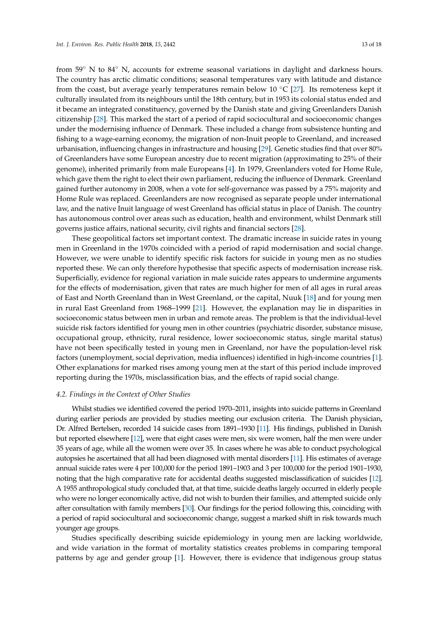from 59◦ N to 84◦ N, accounts for extreme seasonal variations in daylight and darkness hours. The country has arctic climatic conditions; seasonal temperatures vary with latitude and distance from the coast, but average yearly temperatures remain below 10  $°C$  [\[27\]](#page-16-19). Its remoteness kept it culturally insulated from its neighbours until the 18th century, but in 1953 its colonial status ended and it became an integrated constituency, governed by the Danish state and giving Greenlanders Danish citizenship [\[28\]](#page-16-20). This marked the start of a period of rapid sociocultural and socioeconomic changes under the modernising influence of Denmark. These included a change from subsistence hunting and fishing to a wage-earning economy, the migration of non-Inuit people to Greenland, and increased urbanisation, influencing changes in infrastructure and housing [\[29\]](#page-16-21). Genetic studies find that over 80% of Greenlanders have some European ancestry due to recent migration (approximating to 25% of their genome), inherited primarily from male Europeans [\[4\]](#page-15-3). In 1979, Greenlanders voted for Home Rule, which gave them the right to elect their own parliament, reducing the influence of Denmark. Greenland gained further autonomy in 2008, when a vote for self-governance was passed by a 75% majority and

Home Rule was replaced. Greenlanders are now recognised as separate people under international law, and the native Inuit language of west Greenland has official status in place of Danish. The country has autonomous control over areas such as education, health and environment, whilst Denmark still governs justice affairs, national security, civil rights and financial sectors [\[28\]](#page-16-20).

These geopolitical factors set important context. The dramatic increase in suicide rates in young men in Greenland in the 1970s coincided with a period of rapid modernisation and social change. However, we were unable to identify specific risk factors for suicide in young men as no studies reported these. We can only therefore hypothesise that specific aspects of modernisation increase risk. Superficially, evidence for regional variation in male suicide rates appears to undermine arguments for the effects of modernisation, given that rates are much higher for men of all ages in rural areas of East and North Greenland than in West Greenland, or the capital, Nuuk [\[18\]](#page-16-3) and for young men in rural East Greenland from 1968–1999 [\[21\]](#page-16-6). However, the explanation may lie in disparities in socioeconomic status between men in urban and remote areas. The problem is that the individual-level suicide risk factors identified for young men in other countries (psychiatric disorder, substance misuse, occupational group, ethnicity, rural residence, lower socioeconomic status, single marital status) have not been specifically tested in young men in Greenland, nor have the population-level risk factors (unemployment, social deprivation, media influences) identified in high-income countries [\[1\]](#page-15-0). Other explanations for marked rises among young men at the start of this period include improved reporting during the 1970s, misclassification bias, and the effects of rapid social change.

# *4.2. Findings in the Context of Other Studies*

Whilst studies we identified covered the period 1970–2011, insights into suicide patterns in Greenland during earlier periods are provided by studies meeting our exclusion criteria. The Danish physician, Dr. Alfred Bertelsen, recorded 14 suicide cases from 1891–1930 [\[11\]](#page-15-10). His findings, published in Danish but reported elsewhere [\[12\]](#page-15-11), were that eight cases were men, six were women, half the men were under 35 years of age, while all the women were over 35. In cases where he was able to conduct psychological autopsies he ascertained that all had been diagnosed with mental disorders [\[11\]](#page-15-10). His estimates of average annual suicide rates were 4 per 100,000 for the period 1891–1903 and 3 per 100,000 for the period 1901–1930, noting that the high comparative rate for accidental deaths suggested misclassification of suicides [\[12\]](#page-15-11). A 1955 anthropological study concluded that, at that time, suicide deaths largely occurred in elderly people who were no longer economically active, did not wish to burden their families, and attempted suicide only after consultation with family members [\[30\]](#page-16-22). Our findings for the period following this, coinciding with a period of rapid sociocultural and socioeconomic change, suggest a marked shift in risk towards much younger age groups.

Studies specifically describing suicide epidemiology in young men are lacking worldwide, and wide variation in the format of mortality statistics creates problems in comparing temporal patterns by age and gender group [\[1\]](#page-15-0). However, there is evidence that indigenous group status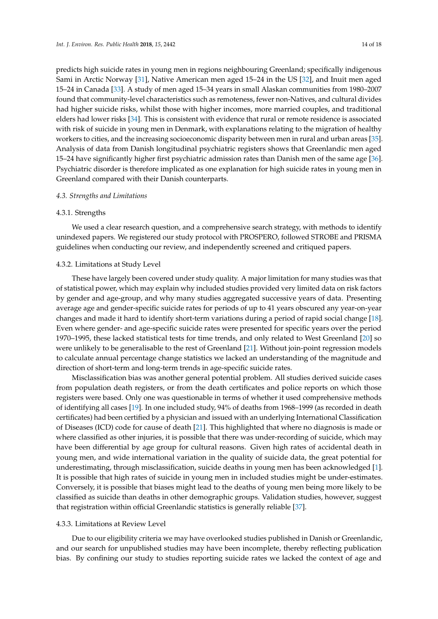predicts high suicide rates in young men in regions neighbouring Greenland; specifically indigenous Sami in Arctic Norway [\[31\]](#page-16-23), Native American men aged 15–24 in the US [\[32\]](#page-16-24), and Inuit men aged 15–24 in Canada [\[33\]](#page-16-25). A study of men aged 15–34 years in small Alaskan communities from 1980–2007 found that community-level characteristics such as remoteness, fewer non-Natives, and cultural divides had higher suicide risks, whilst those with higher incomes, more married couples, and traditional elders had lower risks [\[34\]](#page-16-26). This is consistent with evidence that rural or remote residence is associated with risk of suicide in young men in Denmark, with explanations relating to the migration of healthy workers to cities, and the increasing socioeconomic disparity between men in rural and urban areas [\[35\]](#page-16-27). Analysis of data from Danish longitudinal psychiatric registers shows that Greenlandic men aged 15–24 have significantly higher first psychiatric admission rates than Danish men of the same age [\[36\]](#page-16-28). Psychiatric disorder is therefore implicated as one explanation for high suicide rates in young men in Greenland compared with their Danish counterparts.

#### *4.3. Strengths and Limitations*

#### 4.3.1. Strengths

We used a clear research question, and a comprehensive search strategy, with methods to identify unindexed papers. We registered our study protocol with PROSPERO, followed STROBE and PRISMA guidelines when conducting our review, and independently screened and critiqued papers.

#### 4.3.2. Limitations at Study Level

These have largely been covered under study quality. A major limitation for many studies was that of statistical power, which may explain why included studies provided very limited data on risk factors by gender and age-group, and why many studies aggregated successive years of data. Presenting average age and gender-specific suicide rates for periods of up to 41 years obscured any year-on-year changes and made it hard to identify short-term variations during a period of rapid social change [\[18\]](#page-16-3). Even where gender- and age-specific suicide rates were presented for specific years over the period 1970–1995, these lacked statistical tests for time trends, and only related to West Greenland [\[20\]](#page-16-5) so were unlikely to be generalisable to the rest of Greenland [\[21\]](#page-16-6). Without join-point regression models to calculate annual percentage change statistics we lacked an understanding of the magnitude and direction of short-term and long-term trends in age-specific suicide rates.

Misclassification bias was another general potential problem. All studies derived suicide cases from population death registers, or from the death certificates and police reports on which those registers were based. Only one was questionable in terms of whether it used comprehensive methods of identifying all cases [\[19\]](#page-16-4). In one included study, 94% of deaths from 1968–1999 (as recorded in death certificates) had been certified by a physician and issued with an underlying International Classification of Diseases (ICD) code for cause of death [\[21\]](#page-16-6). This highlighted that where no diagnosis is made or where classified as other injuries, it is possible that there was under-recording of suicide, which may have been differential by age group for cultural reasons. Given high rates of accidental death in young men, and wide international variation in the quality of suicide data, the great potential for underestimating, through misclassification, suicide deaths in young men has been acknowledged [\[1\]](#page-15-0). It is possible that high rates of suicide in young men in included studies might be under-estimates. Conversely, it is possible that biases might lead to the deaths of young men being more likely to be classified as suicide than deaths in other demographic groups. Validation studies, however, suggest that registration within official Greenlandic statistics is generally reliable [\[37\]](#page-16-29).

#### 4.3.3. Limitations at Review Level

Due to our eligibility criteria we may have overlooked studies published in Danish or Greenlandic, and our search for unpublished studies may have been incomplete, thereby reflecting publication bias. By confining our study to studies reporting suicide rates we lacked the context of age and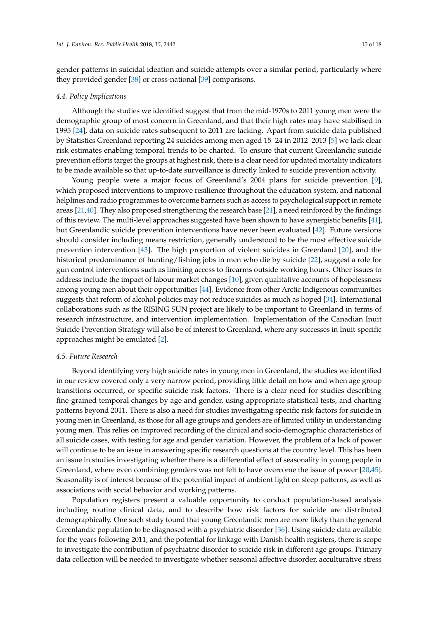gender patterns in suicidal ideation and suicide attempts over a similar period, particularly where they provided gender [\[38\]](#page-16-30) or cross-national [\[39\]](#page-16-31) comparisons.

#### *4.4. Policy Implications*

Although the studies we identified suggest that from the mid-1970s to 2011 young men were the demographic group of most concern in Greenland, and that their high rates may have stabilised in 1995 [\[24\]](#page-16-16), data on suicide rates subsequent to 2011 are lacking. Apart from suicide data published by Statistics Greenland reporting 24 suicides among men aged 15–24 in 2012–2013 [\[5\]](#page-15-4) we lack clear risk estimates enabling temporal trends to be charted. To ensure that current Greenlandic suicide prevention efforts target the groups at highest risk, there is a clear need for updated mortality indicators to be made available so that up-to-date surveillance is directly linked to suicide prevention activity.

Young people were a major focus of Greenland's 2004 plans for suicide prevention [\[9\]](#page-15-8), which proposed interventions to improve resilience throughout the education system, and national helplines and radio programmes to overcome barriers such as access to psychological support in remote areas [\[21,](#page-16-6)[40\]](#page-16-32). They also proposed strengthening the research base [\[21\]](#page-16-6), a need reinforced by the findings of this review. The multi-level approaches suggested have been shown to have synergistic benefits [\[41\]](#page-17-0), but Greenlandic suicide prevention interventions have never been evaluated [\[42\]](#page-17-1). Future versions should consider including means restriction, generally understood to be the most effective suicide prevention intervention [\[43\]](#page-17-2). The high proportion of violent suicides in Greenland [\[20\]](#page-16-5), and the historical predominance of hunting/fishing jobs in men who die by suicide [\[22\]](#page-16-7), suggest a role for gun control interventions such as limiting access to firearms outside working hours. Other issues to address include the impact of labour market changes [\[10\]](#page-15-9), given qualitative accounts of hopelessness among young men about their opportunities [\[44\]](#page-17-3). Evidence from other Arctic Indigenous communities suggests that reform of alcohol policies may not reduce suicides as much as hoped [\[34\]](#page-16-26). International collaborations such as the RISING SUN project are likely to be important to Greenland in terms of research infrastructure, and intervention implementation. Implementation of the Canadian Inuit Suicide Prevention Strategy will also be of interest to Greenland, where any successes in Inuit-specific approaches might be emulated [\[2\]](#page-15-1).

#### *4.5. Future Research*

Beyond identifying very high suicide rates in young men in Greenland, the studies we identified in our review covered only a very narrow period, providing little detail on how and when age group transitions occurred, or specific suicide risk factors. There is a clear need for studies describing fine-grained temporal changes by age and gender, using appropriate statistical tests, and charting patterns beyond 2011. There is also a need for studies investigating specific risk factors for suicide in young men in Greenland, as those for all age groups and genders are of limited utility in understanding young men. This relies on improved recording of the clinical and socio-demographic characteristics of all suicide cases, with testing for age and gender variation. However, the problem of a lack of power will continue to be an issue in answering specific research questions at the country level. This has been an issue in studies investigating whether there is a differential effect of seasonality in young people in Greenland, where even combining genders was not felt to have overcome the issue of power [\[20,](#page-16-5)[45\]](#page-17-4). Seasonality is of interest because of the potential impact of ambient light on sleep patterns, as well as associations with social behavior and working patterns.

Population registers present a valuable opportunity to conduct population-based analysis including routine clinical data, and to describe how risk factors for suicide are distributed demographically. One such study found that young Greenlandic men are more likely than the general Greenlandic population to be diagnosed with a psychiatric disorder [\[36\]](#page-16-28). Using suicide data available for the years following 2011, and the potential for linkage with Danish health registers, there is scope to investigate the contribution of psychiatric disorder to suicide risk in different age groups. Primary data collection will be needed to investigate whether seasonal affective disorder, acculturative stress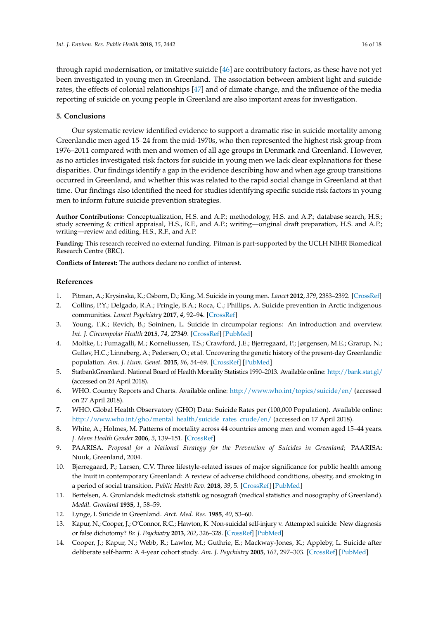through rapid modernisation, or imitative suicide [\[46\]](#page-17-5) are contributory factors, as these have not yet been investigated in young men in Greenland. The association between ambient light and suicide rates, the effects of colonial relationships [\[47\]](#page-17-6) and of climate change, and the influence of the media reporting of suicide on young people in Greenland are also important areas for investigation.

# **5. Conclusions**

Our systematic review identified evidence to support a dramatic rise in suicide mortality among Greenlandic men aged 15–24 from the mid-1970s, who then represented the highest risk group from 1976–2011 compared with men and women of all age groups in Denmark and Greenland. However, as no articles investigated risk factors for suicide in young men we lack clear explanations for these disparities. Our findings identify a gap in the evidence describing how and when age group transitions occurred in Greenland, and whether this was related to the rapid social change in Greenland at that time. Our findings also identified the need for studies identifying specific suicide risk factors in young men to inform future suicide prevention strategies.

**Author Contributions:** Conceptualization, H.S. and A.P.; methodology, H.S. and A.P.; database search, H.S.; study screening & critical appraisal, H.S., R.F., and A.P.; writing—original draft preparation, H.S. and A.P.; writing—review and editing, H.S., R.F., and A.P.

**Funding:** This research received no external funding. Pitman is part-supported by the UCLH NIHR Biomedical Research Centre (BRC).

**Conflicts of Interest:** The authors declare no conflict of interest.

# **References**

- <span id="page-15-0"></span>1. Pitman, A.; Krysinska, K.; Osborn, D.; King, M. Suicide in young men. *Lancet* **2012**, *379*, 2383–2392. [\[CrossRef\]](http://dx.doi.org/10.1016/S0140-6736(12)60731-4)
- <span id="page-15-1"></span>2. Collins, P.Y.; Delgado, R.A.; Pringle, B.A.; Roca, C.; Phillips, A. Suicide prevention in Arctic indigenous communities. *Lancet Psychiatry* **2017**, *4*, 92–94. [\[CrossRef\]](http://dx.doi.org/10.1016/S2215-0366(16)30349-2)
- <span id="page-15-14"></span><span id="page-15-2"></span>3. Young, T.K.; Revich, B.; Soininen, L. Suicide in circumpolar regions: An introduction and overview. *Int. J. Circumpolar Health* **2015**, *74*, 27349. [\[CrossRef\]](http://dx.doi.org/10.3402/ijch.v74.27349) [\[PubMed\]](http://www.ncbi.nlm.nih.gov/pubmed/25742881)
- <span id="page-15-3"></span>4. Moltke, I.; Fumagalli, M.; Korneliussen, T.S.; Crawford, J.E.; Bjerregaard, P.; Jørgensen, M.E.; Grarup, N.; Gulløv, H.C.; Linneberg, A.; Pedersen, O.; et al. Uncovering the genetic history of the present-day Greenlandic population. *Am. J. Hum. Genet.* **2015**, *96*, 54–69. [\[CrossRef\]](http://dx.doi.org/10.1016/j.ajhg.2014.11.012) [\[PubMed\]](http://www.ncbi.nlm.nih.gov/pubmed/25557782)
- <span id="page-15-4"></span>5. StatbankGreenland. National Board of Health Mortality Statistics 1990–2013. Available online: <http://bank.stat.gl/> (accessed on 24 April 2018).
- <span id="page-15-5"></span>6. WHO. Country Reports and Charts. Available online: <http://www.who.int/topics/suicide/en/> (accessed on 27 April 2018).
- <span id="page-15-6"></span>7. WHO. Global Health Observatory (GHO) Data: Suicide Rates per (100,000 Population). Available online: [http://www.who.int/gho/mental\\_health/suicide\\_rates\\_crude/en/](http://www.who.int/gho/mental_health/suicide_rates_crude/en/) (accessed on 17 April 2018).
- <span id="page-15-7"></span>8. White, A.; Holmes, M. Patterns of mortality across 44 countries among men and women aged 15–44 years. *J. Mens Health Gender* **2006**, *3*, 139–151. [\[CrossRef\]](http://dx.doi.org/10.1016/j.jmhg.2006.04.002)
- <span id="page-15-8"></span>9. PAARISA. *Proposal for a National Strategy for the Prevention of Suicides in Greenland*; PAARISA: Nuuk, Greenland, 2004.
- <span id="page-15-9"></span>10. Bjerregaard, P.; Larsen, C.V. Three lifestyle-related issues of major significance for public health among the Inuit in contemporary Greenland: A review of adverse childhood conditions, obesity, and smoking in a period of social transition. *Public Health Rev.* **2018**, *39*, 5. [\[CrossRef\]](http://dx.doi.org/10.1186/s40985-018-0085-8) [\[PubMed\]](http://www.ncbi.nlm.nih.gov/pubmed/29692943)
- <span id="page-15-10"></span>11. Bertelsen, A. Gronlandsk medicinsk statistik og nosografi (medical statistics and nosography of Greenland). *Meddl. Gronland* **1935**, *1*, 58–59.
- <span id="page-15-11"></span>12. Lynge, I. Suicide in Greenland. *Arct. Med. Res.* **1985**, *40*, 53–60.
- <span id="page-15-12"></span>13. Kapur, N.; Cooper, J.; O'Connor, R.C.; Hawton, K. Non-suicidal self-injury v. Attempted suicide: New diagnosis or false dichotomy? *Br. J. Psychiatry* **2013**, *202*, 326–328. [\[CrossRef\]](http://dx.doi.org/10.1192/bjp.bp.112.116111) [\[PubMed\]](http://www.ncbi.nlm.nih.gov/pubmed/23637107)
- <span id="page-15-13"></span>14. Cooper, J.; Kapur, N.; Webb, R.; Lawlor, M.; Guthrie, E.; Mackway-Jones, K.; Appleby, L. Suicide after deliberate self-harm: A 4-year cohort study. *Am. J. Psychiatry* **2005**, *162*, 297–303. [\[CrossRef\]](http://dx.doi.org/10.1176/appi.ajp.162.2.297) [\[PubMed\]](http://www.ncbi.nlm.nih.gov/pubmed/15677594)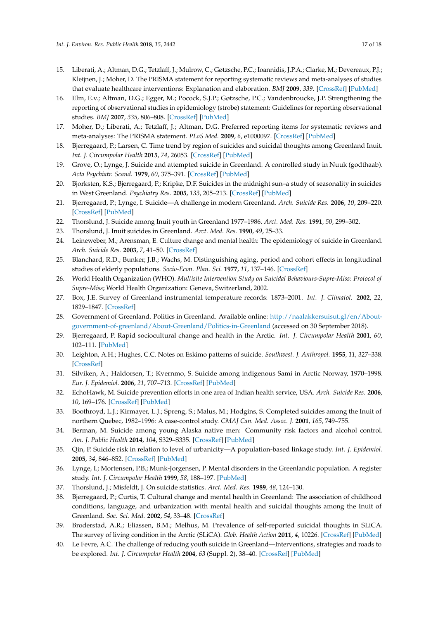- <span id="page-16-14"></span><span id="page-16-13"></span><span id="page-16-12"></span><span id="page-16-11"></span><span id="page-16-10"></span><span id="page-16-9"></span><span id="page-16-8"></span><span id="page-16-0"></span>15. Liberati, A.; Altman, D.G.; Tetzlaff, J.; Mulrow, C.; Gøtzsche, P.C.; Ioannidis, J.P.A.; Clarke, M.; Devereaux, P.J.; Kleijnen, J.; Moher, D. The PRISMA statement for reporting systematic reviews and meta-analyses of studies that evaluate healthcare interventions: Explanation and elaboration. *BMJ* **2009**, *339*. [\[CrossRef\]](http://dx.doi.org/10.1136/bmj.b2700) [\[PubMed\]](http://www.ncbi.nlm.nih.gov/pubmed/19622552)
- <span id="page-16-1"></span>16. Elm, E.v.; Altman, D.G.; Egger, M.; Pocock, S.J.P.; Gøtzsche, P.C.; Vandenbroucke, J.P. Strengthening the reporting of observational studies in epidemiology (strobe) statement: Guidelines for reporting observational studies. *BMJ* **2007**, *335*, 806–808. [\[CrossRef\]](http://dx.doi.org/10.1136/bmj.39335.541782.AD) [\[PubMed\]](http://www.ncbi.nlm.nih.gov/pubmed/17947786)
- <span id="page-16-2"></span>17. Moher, D.; Liberati, A.; Tetzlaff, J.; Altman, D.G. Preferred reporting items for systematic reviews and meta-analyses: The PRISMA statement. *PLoS Med.* **2009**, *6*, e1000097. [\[CrossRef\]](http://dx.doi.org/10.1371/journal.pmed.1000097) [\[PubMed\]](http://www.ncbi.nlm.nih.gov/pubmed/19621072)
- <span id="page-16-3"></span>18. Bjerregaard, P.; Larsen, C. Time trend by region of suicides and suicidal thoughts among Greenland Inuit. *Int. J. Circumpolar Health* **2015**, *74*, 26053. [\[CrossRef\]](http://dx.doi.org/10.3402/ijch.v74.26053) [\[PubMed\]](http://www.ncbi.nlm.nih.gov/pubmed/25701279)
- <span id="page-16-4"></span>19. Grove, O.; Lynge, J. Suicide and attempted suicide in Greenland. A controlled study in Nuuk (godthaab). *Acta Psychiatr. Scand.* **1979**, *60*, 375–391. [\[CrossRef\]](http://dx.doi.org/10.1111/j.1600-0447.1979.tb00286.x) [\[PubMed\]](http://www.ncbi.nlm.nih.gov/pubmed/517151)
- <span id="page-16-5"></span>20. Bjorksten, K.S.; Bjerregaard, P.; Kripke, D.F. Suicides in the midnight sun–a study of seasonality in suicides in West Greenland. *Psychiatry Res.* **2005**, *133*, 205–213. [\[CrossRef\]](http://dx.doi.org/10.1016/j.psychres.2004.12.002) [\[PubMed\]](http://www.ncbi.nlm.nih.gov/pubmed/15740996)
- <span id="page-16-6"></span>21. Bjerregaard, P.; Lynge, I. Suicide—A challenge in modern Greenland. *Arch. Suicide Res.* **2006**, *10*, 209–220. [\[CrossRef\]](http://dx.doi.org/10.1080/13811110600558265) [\[PubMed\]](http://www.ncbi.nlm.nih.gov/pubmed/16574617)
- <span id="page-16-7"></span>22. Thorslund, J. Suicide among Inuit youth in Greenland 1977–1986. *Arct. Med. Res.* **1991**, *50*, 299–302.
- <span id="page-16-16"></span><span id="page-16-15"></span>23. Thorslund, J. Inuit suicides in Greenland. *Arct. Med. Res.* **1990**, *49*, 25–33.
- 24. Leineweber, M.; Arensman, E. Culture change and mental health: The epidemiology of suicide in Greenland. *Arch. Suicide Res.* **2003**, *7*, 41–50. [\[CrossRef\]](http://dx.doi.org/10.1080/13811110301570)
- <span id="page-16-17"></span>25. Blanchard, R.D.; Bunker, J.B.; Wachs, M. Distinguishing aging, period and cohort effects in longitudinal studies of elderly populations. *Socio-Econ. Plan. Sci.* **1977**, *11*, 137–146. [\[CrossRef\]](http://dx.doi.org/10.1016/0038-0121(77)90032-5)
- <span id="page-16-18"></span>26. World Health Organization (WHO). *Multisite Intervention Study on Suicidal Behaviours-Supre-Miss: Protocol of Supre-Miss*; World Health Organization: Geneva, Switzerland, 2002.
- <span id="page-16-19"></span>27. Box, J.E. Survey of Greenland instrumental temperature records: 1873–2001. *Int. J. Climatol.* **2002**, *22*, 1829–1847. [\[CrossRef\]](http://dx.doi.org/10.1002/joc.852)
- <span id="page-16-20"></span>28. Government of Greenland. Politics in Greenland. Available online: [http://naalakkersuisut.gl/en/About](http://naalakkersuisut.gl/en/About-government-of-greenland/About-Greenland/Politics-in-Greenland)[government-of-greenland/About-Greenland/Politics-in-Greenland](http://naalakkersuisut.gl/en/About-government-of-greenland/About-Greenland/Politics-in-Greenland) (accessed on 30 September 2018).
- <span id="page-16-21"></span>29. Bjerregaard, P. Rapid sociocultural change and health in the Arctic. *Int. J. Circumpolar Health* **2001**, *60*, 102–111. [\[PubMed\]](http://www.ncbi.nlm.nih.gov/pubmed/11507959)
- <span id="page-16-22"></span>30. Leighton, A.H.; Hughes, C.C. Notes on Eskimo patterns of suicide. *Southwest. J. Anthropol.* **1955**, *11*, 327–338. [\[CrossRef\]](http://dx.doi.org/10.1086/soutjanth.11.4.3628908)
- <span id="page-16-23"></span>31. Silviken, A.; Haldorsen, T.; Kvernmo, S. Suicide among indigenous Sami in Arctic Norway, 1970–1998. *Eur. J. Epidemiol.* **2006**, *21*, 707–713. [\[CrossRef\]](http://dx.doi.org/10.1007/s10654-006-9052-7) [\[PubMed\]](http://www.ncbi.nlm.nih.gov/pubmed/17048080)
- <span id="page-16-24"></span>32. EchoHawk, M. Suicide prevention efforts in one area of Indian health service, USA. *Arch. Suicide Res.* **2006**, *10*, 169–176. [\[CrossRef\]](http://dx.doi.org/10.1080/13811110600558224) [\[PubMed\]](http://www.ncbi.nlm.nih.gov/pubmed/16574614)
- <span id="page-16-25"></span>33. Boothroyd, L.J.; Kirmayer, L.J.; Spreng, S.; Malus, M.; Hodgins, S. Completed suicides among the Inuit of northern Quebec, 1982–1996: A case-control study. *CMAJ Can. Med. Assoc. J.* **2001**, *165*, 749–755.
- <span id="page-16-26"></span>34. Berman, M. Suicide among young Alaska native men: Community risk factors and alcohol control. *Am. J. Public Health* **2014**, *104*, S329–S335. [\[CrossRef\]](http://dx.doi.org/10.2105/AJPH.2013.301503) [\[PubMed\]](http://www.ncbi.nlm.nih.gov/pubmed/24754505)
- <span id="page-16-27"></span>35. Qin, P. Suicide risk in relation to level of urbanicity—A population-based linkage study. *Int. J. Epidemiol.* **2005**, *34*, 846–852. [\[CrossRef\]](http://dx.doi.org/10.1093/ije/dyi085) [\[PubMed\]](http://www.ncbi.nlm.nih.gov/pubmed/15851392)
- <span id="page-16-28"></span>36. Lynge, I.; Mortensen, P.B.; Munk-Jorgensen, P. Mental disorders in the Greenlandic population. A register study. *Int. J. Circumpolar Health* **1999**, *58*, 188–197. [\[PubMed\]](http://www.ncbi.nlm.nih.gov/pubmed/10528469)
- <span id="page-16-29"></span>37. Thorslund, J.; Misfeldt, J. On suicide statistics. *Arct. Med. Res.* **1989**, *48*, 124–130.
- <span id="page-16-30"></span>38. Bjerregaard, P.; Curtis, T. Cultural change and mental health in Greenland: The association of childhood conditions, language, and urbanization with mental health and suicidal thoughts among the Inuit of Greenland. *Soc. Sci. Med.* **2002**, *54*, 33–48. [\[CrossRef\]](http://dx.doi.org/10.1016/S0277-9536(01)00005-3)
- <span id="page-16-31"></span>39. Broderstad, A.R.; Eliassen, B.M.; Melhus, M. Prevalence of self-reported suicidal thoughts in SLiCA. The survey of living condition in the Arctic (SLiCA). *Glob. Health Action* **2011**, *4*, 10226. [\[CrossRef\]](http://dx.doi.org/10.3402/gha.v4i0.10226) [\[PubMed\]](http://www.ncbi.nlm.nih.gov/pubmed/22114568)
- <span id="page-16-32"></span>40. Le Fevre, A.C. The challenge of reducing youth suicide in Greenland—Interventions, strategies and roads to be explored. *Int. J. Circumpolar Health* **2004**, *63* (Suppl. 2), 38–40. [\[CrossRef\]](http://dx.doi.org/10.3402/ijch.v63i0.17783) [\[PubMed\]](http://www.ncbi.nlm.nih.gov/pubmed/15736620)